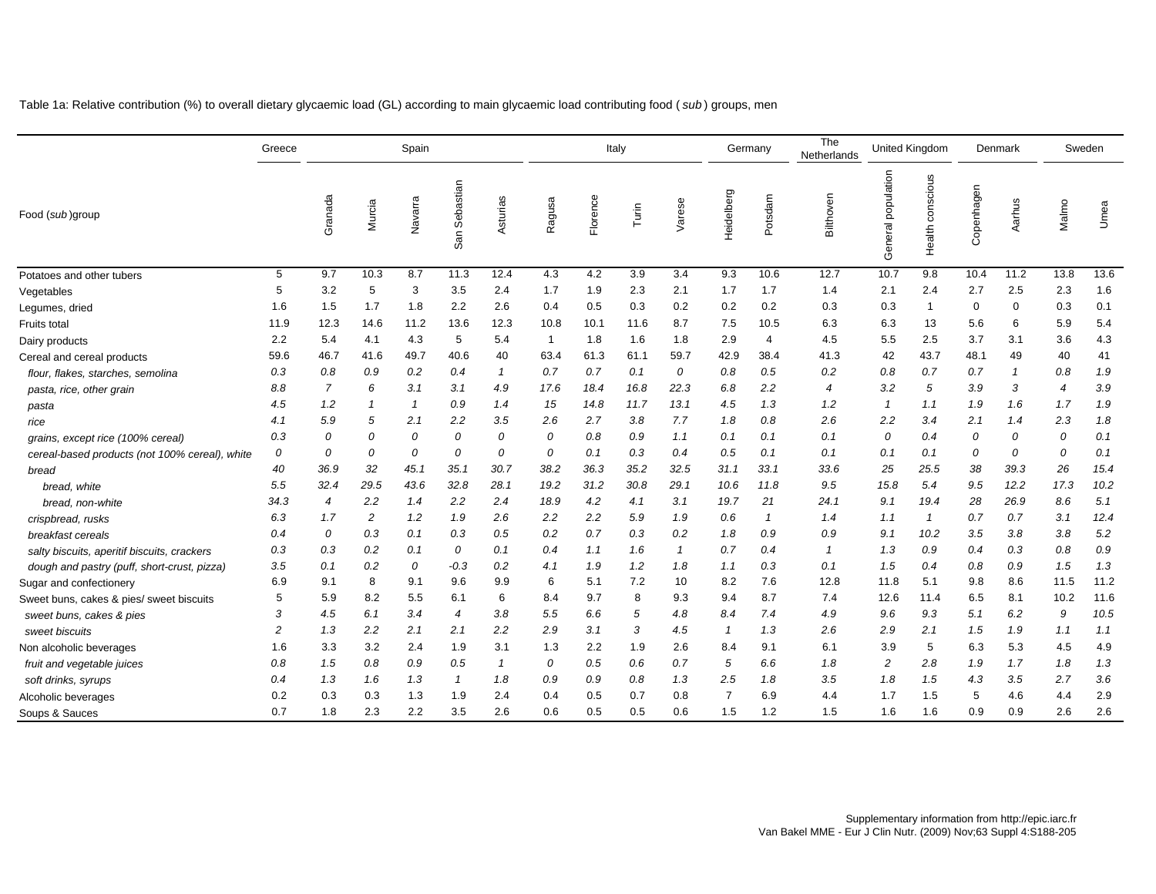Table 1a: Relative contribution (%) to overall dietary glycaemic load (GL) according to main glycaemic load contributing food ( *sub* ) groups, men

|                                                | Greece         |                          |                | Spain   |               |              |              |          | Italy |                |                | Germany        | The<br>Netherlands |                       | United Kingdom   |             | Denmark      |                | Sweden |
|------------------------------------------------|----------------|--------------------------|----------------|---------|---------------|--------------|--------------|----------|-------|----------------|----------------|----------------|--------------------|-----------------------|------------------|-------------|--------------|----------------|--------|
| Food (sub)group                                |                | Granada                  | Murcia         | Navarra | San Sebastian | Asturias     | Ragusa       | Florence | Turin | Varese         | Heidelberg     | Potsdam        | Bilthoven          | population<br>General | Health conscious | Copenhagen  | Aarhus       | Malmo          | Umea   |
| Potatoes and other tubers                      | 5              | 9.7                      | 10.3           | 8.7     | 11.3          | 12.4         | 4.3          | 4.2      | 3.9   | 3.4            | 9.3            | 10.6           | 12.7               | 10.7                  | 9.8              | 10.4        | 11.2         | 13.8           | 13.6   |
| Vegetables                                     | 5              | 3.2                      | 5              | 3       | 3.5           | 2.4          | 1.7          | 1.9      | 2.3   | 2.1            | 1.7            | 1.7            | 1.4                | 2.1                   | 2.4              | 2.7         | 2.5          | 2.3            | 1.6    |
| Legumes, dried                                 | 1.6            | 1.5                      | 1.7            | 1.8     | 2.2           | 2.6          | 0.4          | 0.5      | 0.3   | 0.2            | 0.2            | 0.2            | 0.3                | 0.3                   | -1               | $\mathbf 0$ | $\Omega$     | 0.3            | 0.1    |
| <b>Fruits total</b>                            | 11.9           | 12.3                     | 14.6           | 11.2    | 13.6          | 12.3         | 10.8         | 10.1     | 11.6  | 8.7            | 7.5            | 10.5           | 6.3                | 6.3                   | 13               | 5.6         | 6            | 5.9            | 5.4    |
| Dairy products                                 | 2.2            | 5.4                      | 4.1            | 4.3     | 5             | 5.4          | $\mathbf{1}$ | 1.8      | 1.6   | 1.8            | 2.9            | $\overline{4}$ | 4.5                | 5.5                   | 2.5              | 3.7         | 3.1          | 3.6            | 4.3    |
| Cereal and cereal products                     | 59.6           | 46.7                     | 41.6           | 49.7    | 40.6          | 40           | 63.4         | 61.3     | 61.1  | 59.7           | 42.9           | 38.4           | 41.3               | 42                    | 43.7             | 48.1        | 49           | 40             | 41     |
| flour, flakes, starches, semolina              | 0.3            | 0.8                      | 0.9            | 0.2     | 0.4           | $\mathbf{1}$ | 0.7          | 0.7      | 0.1   | 0              | 0.8            | 0.5            | 0.2                | 0.8                   | 0.7              | 0.7         | $\mathbf{1}$ | 0.8            | 1.9    |
| pasta, rice, other grain                       | 8.8            | $\overline{7}$           | 6              | 3.1     | 3.1           | 4.9          | 17.6         | 18.4     | 16.8  | 22.3           | 6.8            | 2.2            | 4                  | 3.2                   | 5                | 3.9         | 3            | $\overline{4}$ | 3.9    |
| pasta                                          | 4.5            | 1.2                      |                | -1      | 0.9           | 1.4          | 15           | 14.8     | 11.7  | 13.1           | 4.5            | 1.3            | 1.2                | $\overline{1}$        | 1.1              | 1.9         | 1.6          | 1.7            | 1.9    |
| rice                                           | 4.1            | 5.9                      | 5              | 2.1     | 2.2           | 3.5          | 2.6          | 2.7      | 3.8   | 7.7            | 1.8            | 0.8            | 2.6                | 2.2                   | 3.4              | 2.1         | 1.4          | 2.3            | 1.8    |
| grains, except rice (100% cereal)              | 0.3            | 0                        |                | 0       | 0             | 0            | 0            | 0.8      | 0.9   | 1.1            | 0.1            | 0.1            | 0.1                | 0                     | 0.4              | 0           | $\Omega$     | 0              | 0.1    |
| cereal-based products (not 100% cereal), white | $\mathcal{O}$  | 0                        | $\Omega$       | 0       | 0             | 0            | 0            | 0.1      | 0.3   | 0.4            | 0.5            | 0.1            | 0.1                | 0.1                   | 0.1              | 0           | $\Omega$     | $\theta$       | 0.1    |
| bread                                          | 40             | 36.9                     | 32             | 45.7    | 35.1          | 30.7         | 38.2         | 36.3     | 35.2  | 32.5           | 31.1           | 33.1           | 33.6               | 25                    | 25.5             | 38          | 39.3         | 26             | 15.4   |
| bread, white                                   | 5.5            | 32.4                     | 29.5           | 43.6    | 32.8          | 28.1         | 19.2         | 31.2     | 30.8  | 29.1           | 10.6           | 11.8           | 9.5                | 15.8                  | 5.4              | 9.5         | 12.2         | 17.3           | 10.2   |
| bread, non-white                               | 34.3           | $\overline{\mathcal{A}}$ | 2.2            | 1.4     | 2.2           | 2.4          | 18.9         | 4.2      | 4.1   | 3.1            | 19.7           | 21             | 24.1               | 9.1                   | 19.4             | 28          | 26.9         | 8.6            | 5.1    |
| crispbread, rusks                              | 6.3            | 1.7                      | $\overline{c}$ | 1.2     | 1.9           | 2.6          | 2.2          | 2.2      | 5.9   | 1.9            | 0.6            | $\mathbf{1}$   | 1.4                | 1.1                   | $\mathbf{1}$     | 0.7         | 0.7          | 3.1            | 12.4   |
| breakfast cereals                              | 0.4            | 0                        | 0.3            | 0.1     | 0.3           | 0.5          | 0.2          | 0.7      | 0.3   | 0.2            | 1.8            | 0.9            | 0.9                | 9.1                   | 10.2             | 3.5         | 3.8          | 3.8            | 5.2    |
| salty biscuits, aperitif biscuits, crackers    | 0.3            | 0.3                      | 0.2            | 0.1     | 0             | 0.1          | 0.4          | 1.1      | 1.6   | $\overline{1}$ | 0.7            | 0.4            | -1                 | 1.3                   | 0.9              | 0.4         | 0.3          | 0.8            | 0.9    |
| dough and pastry (puff, short-crust, pizza)    | 3.5            | 0.1                      | 0.2            | 0       | $-0.3$        | 0.2          | 4.1          | 1.9      | 1.2   | 1.8            | 1.1            | 0.3            | 0.1                | 1.5                   | 0.4              | 0.8         | 0.9          | 1.5            | 1.3    |
| Sugar and confectionery                        | 6.9            | 9.1                      | 8              | 9.1     | 9.6           | 9.9          | 6            | 5.1      | 7.2   | 10             | 8.2            | 7.6            | 12.8               | 11.8                  | 5.1              | 9.8         | 8.6          | 11.5           | 11.2   |
| Sweet buns, cakes & pies/ sweet biscuits       | 5              | 5.9                      | 8.2            | 5.5     | 6.1           | 6            | 8.4          | 9.7      | 8     | 9.3            | 9.4            | 8.7            | 7.4                | 12.6                  | 11.4             | 6.5         | 8.1          | 10.2           | 11.6   |
| sweet buns, cakes & pies                       | 3              | 4.5                      | 6.1            | 3.4     | 4             | 3.8          | 5.5          | 6.6      | 5     | 4.8            | 8.4            | 7.4            | 4.9                | 9.6                   | 9.3              | 5.1         | 6.2          | 9              | 10.5   |
| sweet biscuits                                 | $\overline{c}$ | 1.3                      | 2.2            | 2.1     | 2.1           | 2.2          | 2.9          | 3.1      | 3     | 4.5            | $\mathbf 1$    | 1.3            | 2.6                | 2.9                   | 2.1              | 1.5         | 1.9          | 1.1            | 1.1    |
| Non alcoholic beverages                        | 1.6            | 3.3                      | 3.2            | 2.4     | 1.9           | 3.1          | 1.3          | 2.2      | 1.9   | 2.6            | 8.4            | 9.1            | 6.1                | 3.9                   | 5                | 6.3         | 5.3          | 4.5            | 4.9    |
| fruit and vegetable juices                     | 0.8            | 1.5                      | 0.8            | 0.9     | 0.5           | $\mathcal I$ | 0            | 0.5      | 0.6   | 0.7            | 5              | 6.6            | 1.8                | 2                     | 2.8              | 1.9         | 1.7          | 1.8            | 1.3    |
| soft drinks, syrups                            | 0.4            | 1.3                      | 1.6            | 1.3     | -1            | 1.8          | 0.9          | 0.9      | 0.8   | 1.3            | 2.5            | 1.8            | 3.5                | 1.8                   | 1.5              | 4.3         | 3.5          | 2.7            | 3.6    |
| Alcoholic beverages                            | 0.2            | 0.3                      | 0.3            | 1.3     | 1.9           | 2.4          | 0.4          | 0.5      | 0.7   | 0.8            | $\overline{7}$ | 6.9            | 4.4                | 1.7                   | 1.5              | 5           | 4.6          | 4.4            | 2.9    |
| Soups & Sauces                                 | 0.7            | 1.8                      | 2.3            | 2.2     | 3.5           | 2.6          | 0.6          | 0.5      | 0.5   | 0.6            | 1.5            | 1.2            | 1.5                | 1.6                   | 1.6              | 0.9         | 0.9          | 2.6            | 2.6    |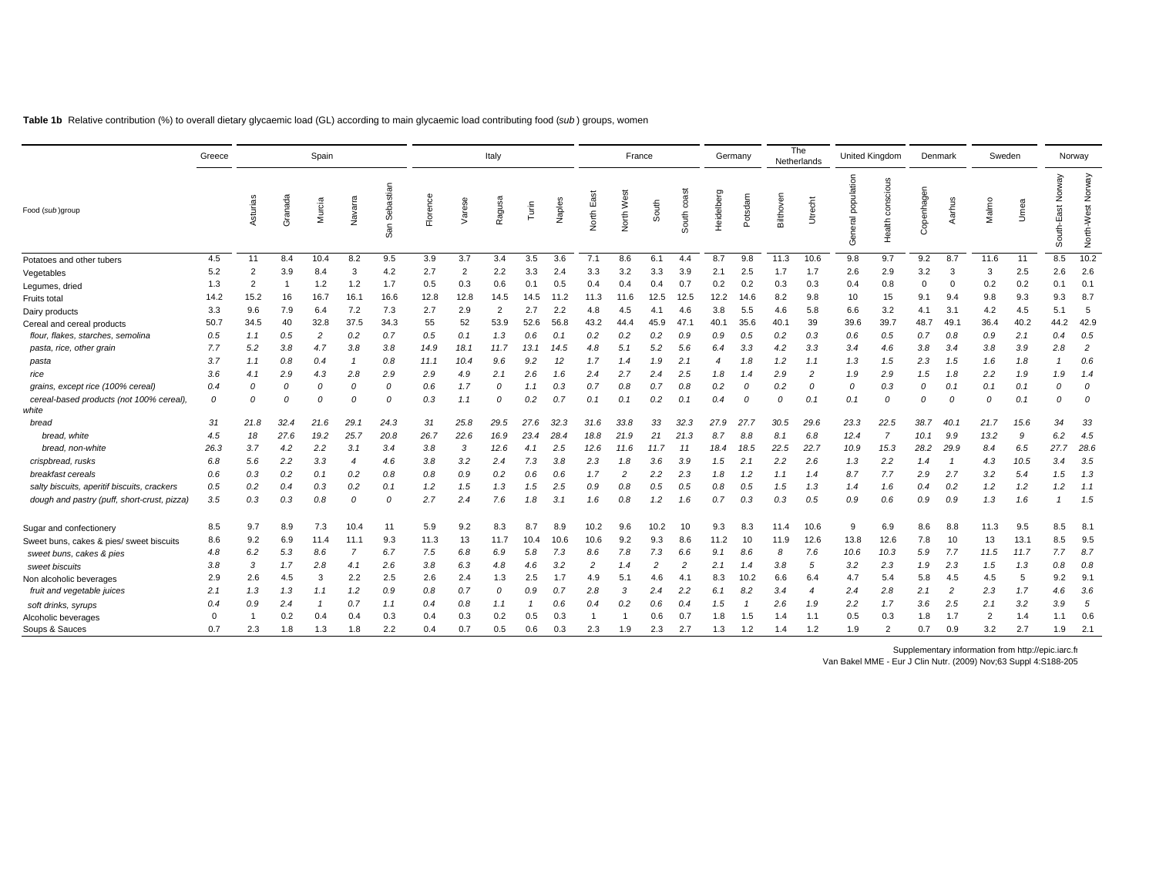**Table 1b** Relative contribution (%) to overall dietary glycaemic load (GL) according to main glycaemic load contributing food (*sub* ) groups, women

|                                             | Greece   |                |           | Spain          |                          |                 |                    |                | Italy          |       |        |                | France     |       |                |            | Germany  |           | The<br>Netherlands |                             | United Kingdom   |           | Denmark        | Sweden         |        |                          | Norway               |
|---------------------------------------------|----------|----------------|-----------|----------------|--------------------------|-----------------|--------------------|----------------|----------------|-------|--------|----------------|------------|-------|----------------|------------|----------|-----------|--------------------|-----------------------------|------------------|-----------|----------------|----------------|--------|--------------------------|----------------------|
| Food (sub)group                             |          | Asturia        | rana<br>ō | Murcia         | Navarra                  | Sebastia<br>San | 5<br>$\frac{5}{5}$ | Varese         | Ragusa         | Turin | Naples | East<br>North  | Š<br>North | South | coast<br>South | Heidelberg | Potsdam  | Bilthoven | Utrecht            | population<br>eneral<br>(2) | Health conscious | Copenhage | Aarhu          | Malmo          | Ĕ<br>∍ | Norway<br>East<br>€<br>ā | Norway<br>North-West |
| Potatoes and other tubers                   | 4.5      | 11             | 8.4       | 10.4           | 8.2                      | 9.5             | 3.9                | 3.7            | 3.4            | 3.5   | 3.6    | 7.1            | 8.6        | 6.1   | 4.4            | 8.7        | 9.8      | 11.3      | 10.6               | 9.8                         | 9.7              | 9.2       | 8.7            | 11.6           | 11     | 8.5                      | 10.2                 |
| Vegetables                                  | 5.2      | $\overline{2}$ | 3.9       | 8.4            | 3                        | 4.2             | 2.7                | $\overline{2}$ | 2.2            | 3.3   | 2.4    | 3.3            | 3.2        | 3.3   | 3.9            | 2.1        | 2.5      | 1.7       | 1.7                | 2.6                         | 2.9              | 3.2       | 3              | 3              | 2.5    | 2.6                      | 2.6                  |
| Legumes, dried                              | 1.3      | $\overline{2}$ |           | 1.2            | 1.2                      | 1.7             | 0.5                | 0.3            | 0.6            | 0.1   | 0.5    | 0.4            | 0.4        | 0.4   | 0.7            | 0.2        | 0.2      | 0.3       | 0.3                | 0.4                         | 0.8              | $\Omega$  | $\mathbf 0$    | 0.2            | 0.2    | 0.1                      | 0.1                  |
| Fruits total                                | 14.2     | 15.2           | 16        | 16.7           | 16.1                     | 16.6            | 12.8               | 12.8           | 14.5           | 14.5  | 11.2   | 11.3           | 11.6       | 12.5  | 12.5           | 12.2       | 14.6     | 8.2       | 9.8                | 10                          | 15               | 9.1       | 9.4            | 9.8            | 9.3    | 9.3                      | 8.7                  |
| Dairy products                              | 3.3      | 9.6            | 7.9       | 6.4            | 7.2                      | 7.3             | 2.7                | 2.9            | $\overline{2}$ | 2.7   | 2.2    | 4.8            | 4.5        | 4.1   | 4.6            | 3.8        | 5.5      | 4.6       | 5.8                | 6.6                         | 3.2              | 4.1       | 3.1            | 4.2            | 4.5    | 5.1                      | 5                    |
| Cereal and cereal products                  | 50.7     | 34.5           | 40        | 32.8           | 37.5                     | 34.3            | 55                 | 52             | 53.9           | 52.6  | 56.8   | 43.2           | 44.4       | 45.9  | 47.1           | 40.1       | 35.6     | 40.1      | 39                 | 39.6                        | 39.7             | 48.7      | 49.1           | 36.4           | 40.2   | 44.2                     | 42.9                 |
| flour, flakes, starches, semolina           | 0.5      | 1.1            | 0.5       | $\overline{c}$ | 0.2                      | 0.7             | 0.5                | 0.1            | 1.3            | 0.6   | 0.     | 0.2            | 0.2        | 0.2   | 0.9            | 0.9        | 0.5      | 0.2       | 0.3                | 0.6                         | 0.5              | 0.7       | 0.8            | 0.9            | 2.1    | 0.4                      | 0.5                  |
| pasta, rice, other grain                    | 7.7      | 5.2            | 3.8       | 4.7            | 3.8                      | 3.8             | 14.9               | 18.1           | 11.7           | 13.1  | 14.5   | 4.8            | 5.1        | 5.2   | 5.6            | 6.4        | 3.3      | 4.2       | 3.3                | 3.4                         | 4.6              | 3.8       | 3.4            | 3.8            | 3.9    | 2.8                      | $\overline{c}$       |
| pasta                                       | 3.7      | 1.1            | 0.8       | 0.4            |                          | 0.8             | 11.1               | 10.4           | 9.6            | 9.2   | 12     | 1.7            | 1.4        | 1.9   | 2.1            |            | 1.8      | 1.2       | 1.1                | 1.3                         | 1.5              | 2.3       | 1.5            | 1.6            | 1.8    |                          | 0.6                  |
| rice                                        | 3.6      | 4.1            | 2.9       | 4.3            | 2.8                      | 2.9             | 2.9                | 4.9            | 2.1            | 2.6   | 1.6    | 2.4            | 2.7        | 2.4   | 2.5            | 1.8        | 1.4      | 2.9       | $\overline{c}$     | 1.9                         | 2.9              | 1.5       | 1.8            | 2.2            | 1.9    | 1.9                      | 1.4                  |
| grains, except rice (100% cereal)           | 0.4      | $\Omega$       | $\Omega$  | 0              | $\Omega$                 | 0               | 0.6                | 1.7            | $\Omega$       | 1.1   | 0.3    | 0.7            | 0.8        | 0.7   | 0.8            | 0.2        | $\Omega$ | 0.2       | $\Omega$           | $\Omega$                    | 0.3              | $\Omega$  | 0.1            | 0.1            | 0.1    | 0                        | 0                    |
| cereal-based products (not 100% cereal)     | 0        | $\Omega$       | $\Omega$  | 0              | $\Omega$                 | $\Omega$        | 0.3                | 1.1            | $\Omega$       | 0.2   | 0.7    | 0.1            | 0.1        | 0.2   | 0.1            | 0.4        | $\Omega$ | $\Omega$  | 0.1                | 0.1                         | $\Omega$         | $\Omega$  | $\Omega$       | $\Omega$       | 0.1    | 0                        | $\Omega$             |
| white                                       |          |                |           |                |                          |                 |                    |                |                |       |        |                |            |       |                |            |          |           |                    |                             |                  |           |                |                |        |                          |                      |
| bread                                       | 31       | 21.8           | 32.4      | 21.6           | 29.1                     | 24.3            | 31                 | 25.8           | 29.5           | 27.6  | 32.3   | 31.6           | 33.8       | 33    | 32.3           | 27.9       | 27.7     | 30.5      | 29.6               | 23.3                        | 22.5             | 38.7      | 40.            | 21.7           | 15.6   | 34                       | 33                   |
| bread, white                                | 4.5      | 18             | 27.6      | 19.2           | 25.7                     | 20.8            | 26.7               | 22.6           | 16.9           | 23.4  | 28.4   | 18.8           | 21.9       | 21    | 21.3           | 8.7        | 8.8      | 8.1       | 6.8                | 12.4                        | 7                | 10.1      | 9.9            | 13.2           | 9      | 6.2                      | 4.5                  |
| bread, non-white                            | 26.3     | 3.7            | 4.2       | 2.2            | 3.1                      | 3.4             | 3.8                | 3              | 12.6           | 4.1   | 2.5    | 12.6           | 11.6       |       | 11             | 18.4       | 18.5     | 22.5      | 22.7               | 10.9                        | 15.3             | 28.2      | 29.9           | 8.4            | 6.5    | 27.7                     | 28.6                 |
| crispbread, rusks                           | 6.8      | 5.6            | 2.2       | 3.3            | $\overline{\mathcal{A}}$ | 4.6             | 3.8                | 3.2            | 2.4            | 7.3   | 3.8    | 2.3            | 1.8        | 3.6   | 3.9            | 1.5        | 2.1      | 2.2       | 2.6                | 1.3                         | 2.2              | 1.4       |                | 4.3            | 10.5   | 3.4                      | 3.5                  |
| breakfast cereals                           | 0.6      | 0.3            | 0.2       | 0.1            | 0.2                      | 0.8             | 0.8                | 0.9            | 0.2            | 0.6   | 0.6    | 1.7            | 2          | 2.2   | 2.3            | 1.8        | 1.2      | 1.1       | 1.4                | 8.7                         | 7.7              | 2.9       | 2.7            | 3.2            | 5.4    | 1.5                      | 1.3                  |
| salty biscuits, aperitif biscuits, crackers | 0.5      | 0.2            | 0.4       | 0.3            | 0.2                      | 0.1             | 1.2                | 1.5            | 1.3            | 1.5   | 2.5    | 0.9            | 0.8        | 0.5   | 0.5            | 0.8        | 0.5      | 1.5       | 1.3                | 1.4                         | 1.6              | 0.4       | 0.2            | 1.2            | 1.2    | 1.2                      | 1.1                  |
| dough and pastry (puff, short-crust, pizza, | 3.5      | 0.3            | 0.3       | 0.8            | 0                        | 0               | 2.7                | 2.4            | 7.6            | 1.8   | 3.1    | 1.6            | 0.8        | 1.2   | 1.6            | 0.7        | 0.3      | 0.3       | 0.5                | 0.9                         | 0.6              | 0.9       | 0.9            | 1.3            | 1.6    |                          | 1.5                  |
| Sugar and confectionery                     | 8.5      | 9.7            | 8.9       | 7.3            | 10.4                     | 11              | 5.9                | 9.2            | 8.3            | 8.    | 8.9    | 10.2           | 9.6        | 10.2  | 10             | 9.3        | 8.3      | 11.4      | 10.6               | 9                           | 6.9              | 8.6       | 8.8            | 11.3           | 9.5    | 8.5                      | 8.1                  |
| Sweet buns, cakes & pies/ sweet biscuits    | 8.6      | 9.2            | 6.9       | 11.4           | 11.1                     | 9.3             | 11.3               | 13             | 11.7           | 10.4  | 10.6   | 10.6           | 9.2        | 9.3   | 8.6            | 11.2       | 10       | 11.9      | 12.6               | 13.8                        | 12.6             | 7.8       | 10             | 13             | 13.1   | 8.5                      | 9.5                  |
| sweet buns, cakes & pies                    | 4.8      | 6.2            | 5.3       | 8.6            | 7                        | 6.7             | 7.5                | 6.8            | 6.9            | 5.8   | 7.3    | 8.6            | 7.8        | 7.3   | 6.6            | 9.1        | 8.6      | 8         | 7.6                | 10.6                        | 10.3             | 5.9       | 7.7            | 11.5           | 11.7   | 7.7                      | 8.7                  |
| sweet biscuits                              | 3.8      | 3              | 1.7       | 2.8            | 4.1                      | 2.6             | 3.8                | 6.3            | 4.8            | 4.6   | 3.2    | $\overline{2}$ | 1.4        | 2     | $\overline{c}$ | 2.1        | 1.4      | 3.8       | 5                  | 3.2                         | 2.3              | 1.9       | 2.3            | 1.5            | 1,3    | 0.8                      | 0.8                  |
| Non alcoholic beverages                     | 2.9      | 2.6            | 4.5       | 3              | 2.2                      | 2.5             | 2.6                | 2.4            | 1.3            | 2.5   | 1.7    | 4.9            | 5.1        | 4.6   | 4.1            | 8.3        | 10.2     | 6.6       | 6.4                | 4.7                         | 5.4              | 5.8       | 4.5            | 4.5            | 5      | 9.2                      | 9.1                  |
| fruit and vegetable juices                  | 2.1      | 1.3            | 1.3       | 1.1            | 1.2                      | 0.9             | 0.8                | 0.7            | 0              | 0.9   | 0.7    | 2.8            | 3          | 2.4   | 2.2            | 6.1        | 8.2      | 3.4       | $\overline{4}$     | 2.4                         | 2.8              | 2.1       | $\overline{c}$ | 2.3            | 1.7    | 4.6                      | 3.6                  |
| soft drinks, syrups                         | 0.4      | 0.9            | 2.4       | 1              | 0.7                      | 1.1             | 0.4                | 0.8            | 1.1            |       | 0.6    | 0.4            | 0.2        | 0.6   | 0.4            | 1.5        |          | 2.6       | 1.9                | 2.2                         | 1.7              | 3.6       | 2.5            | 2.1            | 3.2    | 3.9                      | 5                    |
| Alcoholic beverages                         | $\Omega$ |                | 0.2       | 0.4            | 0.4                      | 0.3             | 0.4                | 0.3            | 0.2            | 0.5   | 0.3    |                |            | 0.6   | 0.7            | 1.8        | 1.5      | 1.4       | 1.1                | 0.5                         | 0.3              | 1.8       | 1.7            | $\overline{2}$ | 1.4    | 1.1                      | 0.6                  |
| Soups & Sauces                              | 0.7      | 2.3            | 1.8       | 1.3            | 1.8                      | 2.2             | 0.4                | 0.7            | 0.5            | 0.6   | 0.3    | 2.3            | 1.9        | 2.3   | 2.7            | 1.3        | 1.2      | 1.4       | 1.2                | 1.9                         | $\overline{2}$   | 0.7       | 0.9            | 3.2            | 2.7    | 1.9                      | 2.1                  |

Supplementary information from http://epic.iarc.fr Van Bakel MME - Eur J Clin Nutr. (2009) Nov;63 Suppl 4:S188-205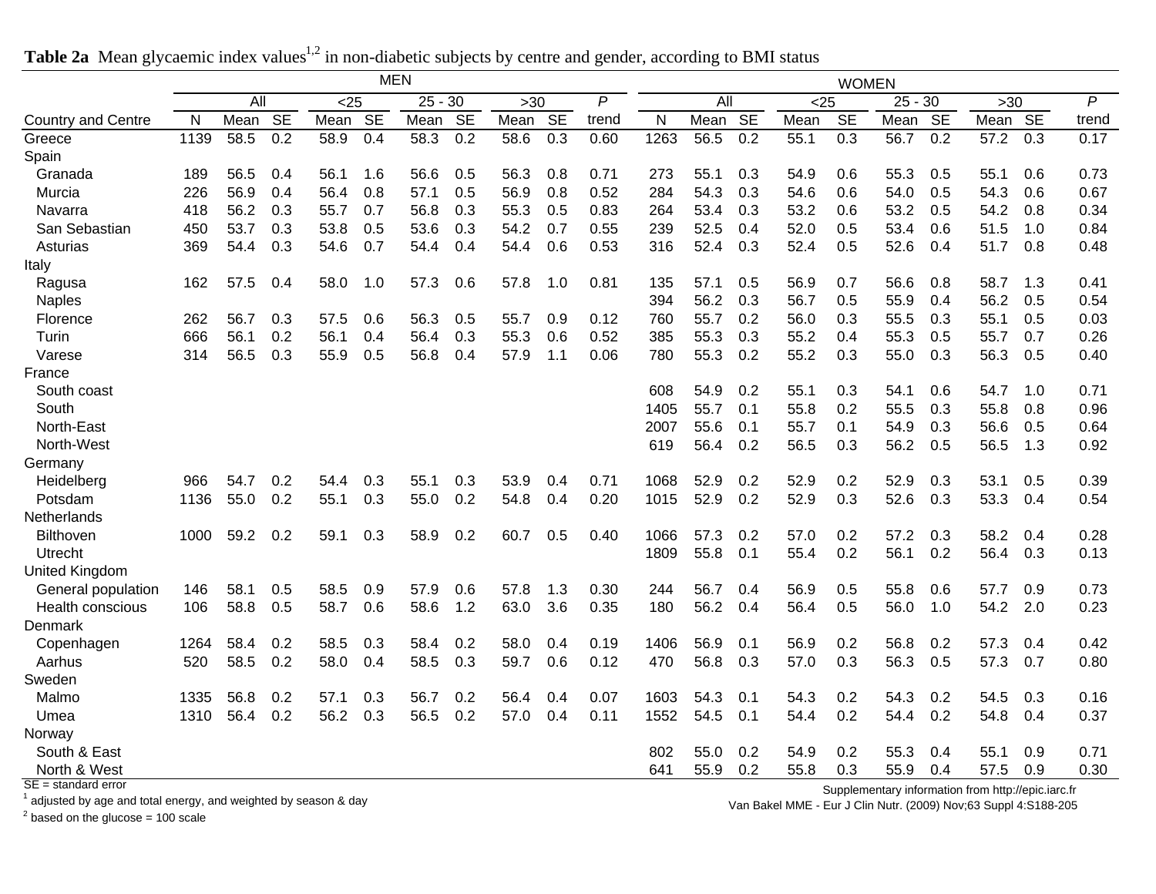|                           |      |      |                        |      |                          | <b>MEN</b> |                        |       |     |              |      |      |     |      | <b>WOMEN</b>           |           |                          |       |     |              |
|---------------------------|------|------|------------------------|------|--------------------------|------------|------------------------|-------|-----|--------------|------|------|-----|------|------------------------|-----------|--------------------------|-------|-----|--------------|
|                           |      | All  |                        | < 25 |                          | $25 - 30$  |                        | $>30$ |     | $\mathsf{P}$ |      | All  |     | < 25 |                        | $25 - 30$ |                          | $>30$ |     | $\mathsf{P}$ |
| <b>Country and Centre</b> | N    | Mean | $\overline{\text{SE}}$ | Mean | $\overline{\mathsf{SE}}$ | Mean       | $\overline{\text{SE}}$ | Mean  | SE  | trend        | N    | Mean | SE  | Mean | $\overline{\text{SE}}$ | Mean      | $\overline{\mathsf{SE}}$ | Mean  | SE  | trend        |
| Greece                    | 1139 | 58.5 | 0.2                    | 58.9 | 0.4                      | 58.3       | 0.2                    | 58.6  | 0.3 | 0.60         | 1263 | 56.5 | 0.2 | 55.1 | 0.3                    | 56.7      | 0.2                      | 57.2  | 0.3 | 0.17         |
| Spain                     |      |      |                        |      |                          |            |                        |       |     |              |      |      |     |      |                        |           |                          |       |     |              |
| Granada                   | 189  | 56.5 | 0.4                    | 56.1 | 1.6                      | 56.6       | 0.5                    | 56.3  | 0.8 | 0.71         | 273  | 55.1 | 0.3 | 54.9 | 0.6                    | 55.3      | 0.5                      | 55.1  | 0.6 | 0.73         |
| Murcia                    | 226  | 56.9 | 0.4                    | 56.4 | 0.8                      | 57.1       | 0.5                    | 56.9  | 0.8 | 0.52         | 284  | 54.3 | 0.3 | 54.6 | 0.6                    | 54.0      | 0.5                      | 54.3  | 0.6 | 0.67         |
| Navarra                   | 418  | 56.2 | 0.3                    | 55.7 | 0.7                      | 56.8       | 0.3                    | 55.3  | 0.5 | 0.83         | 264  | 53.4 | 0.3 | 53.2 | 0.6                    | 53.2      | 0.5                      | 54.2  | 0.8 | 0.34         |
| San Sebastian             | 450  | 53.7 | 0.3                    | 53.8 | 0.5                      | 53.6       | 0.3                    | 54.2  | 0.7 | 0.55         | 239  | 52.5 | 0.4 | 52.0 | 0.5                    | 53.4      | 0.6                      | 51.5  | 1.0 | 0.84         |
| Asturias                  | 369  | 54.4 | 0.3                    | 54.6 | 0.7                      | 54.4       | 0.4                    | 54.4  | 0.6 | 0.53         | 316  | 52.4 | 0.3 | 52.4 | 0.5                    | 52.6      | 0.4                      | 51.7  | 0.8 | 0.48         |
| Italy                     |      |      |                        |      |                          |            |                        |       |     |              |      |      |     |      |                        |           |                          |       |     |              |
| Ragusa                    | 162  | 57.5 | 0.4                    | 58.0 | 1.0                      | 57.3       | 0.6                    | 57.8  | 1.0 | 0.81         | 135  | 57.1 | 0.5 | 56.9 | 0.7                    | 56.6      | 0.8                      | 58.7  | 1.3 | 0.41         |
| <b>Naples</b>             |      |      |                        |      |                          |            |                        |       |     |              | 394  | 56.2 | 0.3 | 56.7 | 0.5                    | 55.9      | 0.4                      | 56.2  | 0.5 | 0.54         |
| Florence                  | 262  | 56.7 | 0.3                    | 57.5 | 0.6                      | 56.3       | 0.5                    | 55.7  | 0.9 | 0.12         | 760  | 55.7 | 0.2 | 56.0 | 0.3                    | 55.5      | 0.3                      | 55.1  | 0.5 | 0.03         |
| Turin                     | 666  | 56.1 | 0.2                    | 56.1 | 0.4                      | 56.4       | 0.3                    | 55.3  | 0.6 | 0.52         | 385  | 55.3 | 0.3 | 55.2 | 0.4                    | 55.3      | 0.5                      | 55.7  | 0.7 | 0.26         |
| Varese                    | 314  | 56.5 | 0.3                    | 55.9 | 0.5                      | 56.8       | 0.4                    | 57.9  | 1.1 | 0.06         | 780  | 55.3 | 0.2 | 55.2 | 0.3                    | 55.0      | 0.3                      | 56.3  | 0.5 | 0.40         |
| France                    |      |      |                        |      |                          |            |                        |       |     |              |      |      |     |      |                        |           |                          |       |     |              |
| South coast               |      |      |                        |      |                          |            |                        |       |     |              | 608  | 54.9 | 0.2 | 55.1 | 0.3                    | 54.1      | 0.6                      | 54.7  | 1.0 | 0.71         |
| South                     |      |      |                        |      |                          |            |                        |       |     |              | 1405 | 55.7 | 0.1 | 55.8 | 0.2                    | 55.5      | 0.3                      | 55.8  | 0.8 | 0.96         |
| North-East                |      |      |                        |      |                          |            |                        |       |     |              | 2007 | 55.6 | 0.1 | 55.7 | 0.1                    | 54.9      | 0.3                      | 56.6  | 0.5 | 0.64         |
| North-West                |      |      |                        |      |                          |            |                        |       |     |              | 619  | 56.4 | 0.2 | 56.5 | 0.3                    | 56.2      | 0.5                      | 56.5  | 1.3 | 0.92         |
| Germany                   |      |      |                        |      |                          |            |                        |       |     |              |      |      |     |      |                        |           |                          |       |     |              |
| Heidelberg                | 966  | 54.7 | 0.2                    | 54.4 | 0.3                      | 55.1       | 0.3                    | 53.9  | 0.4 | 0.71         | 1068 | 52.9 | 0.2 | 52.9 | 0.2                    | 52.9      | 0.3                      | 53.1  | 0.5 | 0.39         |
| Potsdam                   | 1136 | 55.0 | 0.2                    | 55.1 | 0.3                      | 55.0       | 0.2                    | 54.8  | 0.4 | 0.20         | 1015 | 52.9 | 0.2 | 52.9 | 0.3                    | 52.6      | 0.3                      | 53.3  | 0.4 | 0.54         |
| Netherlands               |      |      |                        |      |                          |            |                        |       |     |              |      |      |     |      |                        |           |                          |       |     |              |
| <b>Bilthoven</b>          | 1000 | 59.2 | 0.2                    | 59.1 | 0.3                      | 58.9       | 0.2                    | 60.7  | 0.5 | 0.40         | 1066 | 57.3 | 0.2 | 57.0 | 0.2                    | 57.2      | 0.3                      | 58.2  | 0.4 | 0.28         |
| Utrecht                   |      |      |                        |      |                          |            |                        |       |     |              | 1809 | 55.8 | 0.1 | 55.4 | 0.2                    | 56.1      | 0.2                      | 56.4  | 0.3 | 0.13         |
| <b>United Kingdom</b>     |      |      |                        |      |                          |            |                        |       |     |              |      |      |     |      |                        |           |                          |       |     |              |
| General population        | 146  | 58.1 | 0.5                    | 58.5 | 0.9                      | 57.9       | 0.6                    | 57.8  | 1.3 | 0.30         | 244  | 56.7 | 0.4 | 56.9 | 0.5                    | 55.8      | 0.6                      | 57.7  | 0.9 | 0.73         |
| Health conscious          | 106  | 58.8 | 0.5                    | 58.7 | 0.6                      | 58.6       | 1.2                    | 63.0  | 3.6 | 0.35         | 180  | 56.2 | 0.4 | 56.4 | 0.5                    | 56.0      | 1.0                      | 54.2  | 2.0 | 0.23         |
| Denmark                   |      |      |                        |      |                          |            |                        |       |     |              |      |      |     |      |                        |           |                          |       |     |              |
| Copenhagen                | 1264 | 58.4 | 0.2                    | 58.5 | 0.3                      | 58.4       | 0.2                    | 58.0  | 0.4 | 0.19         | 1406 | 56.9 | 0.1 | 56.9 | 0.2                    | 56.8      | 0.2                      | 57.3  | 0.4 | 0.42         |
| Aarhus                    | 520  | 58.5 | 0.2                    | 58.0 | 0.4                      | 58.5       | 0.3                    | 59.7  | 0.6 | 0.12         | 470  | 56.8 | 0.3 | 57.0 | 0.3                    | 56.3      | 0.5                      | 57.3  | 0.7 | 0.80         |
| Sweden                    |      |      |                        |      |                          |            |                        |       |     |              |      |      |     |      |                        |           |                          |       |     |              |
| Malmo                     | 1335 | 56.8 | 0.2                    | 57.1 | 0.3                      | 56.7       | 0.2                    | 56.4  | 0.4 | 0.07         | 1603 | 54.3 | 0.1 | 54.3 | 0.2                    | 54.3      | 0.2                      | 54.5  | 0.3 | 0.16         |
| Umea                      | 1310 | 56.4 | 0.2                    | 56.2 | 0.3                      | 56.5       | 0.2                    | 57.0  | 0.4 | 0.11         | 1552 | 54.5 | 0.1 | 54.4 | 0.2                    | 54.4      | 0.2                      | 54.8  | 0.4 | 0.37         |
| Norway                    |      |      |                        |      |                          |            |                        |       |     |              |      |      |     |      |                        |           |                          |       |     |              |
| South & East              |      |      |                        |      |                          |            |                        |       |     |              | 802  | 55.0 | 0.2 | 54.9 | 0.2                    | 55.3      | 0.4                      | 55.1  | 0.9 | 0.71         |
| North & West              |      |      |                        |      |                          |            |                        |       |     |              | 641  | 55.9 | 0.2 | 55.8 | 0.3                    | 55.9      | 0.4                      | 57.5  | 0.9 | 0.30         |
| $CE =$ otopoloral orror   |      |      |                        |      |                          |            |                        |       |     |              |      |      |     |      |                        |           |                          |       |     |              |

Table 2a Mean glycaemic index values<sup>1,2</sup> in non-diabetic subjects by centre and gender, according to BMI status

SE = standard error

 $1$  adjusted by age and total energy, and weighted by season & day

 $2$  based on the glucose = 100 scale

Supplementary information from http://epic.iarc.fr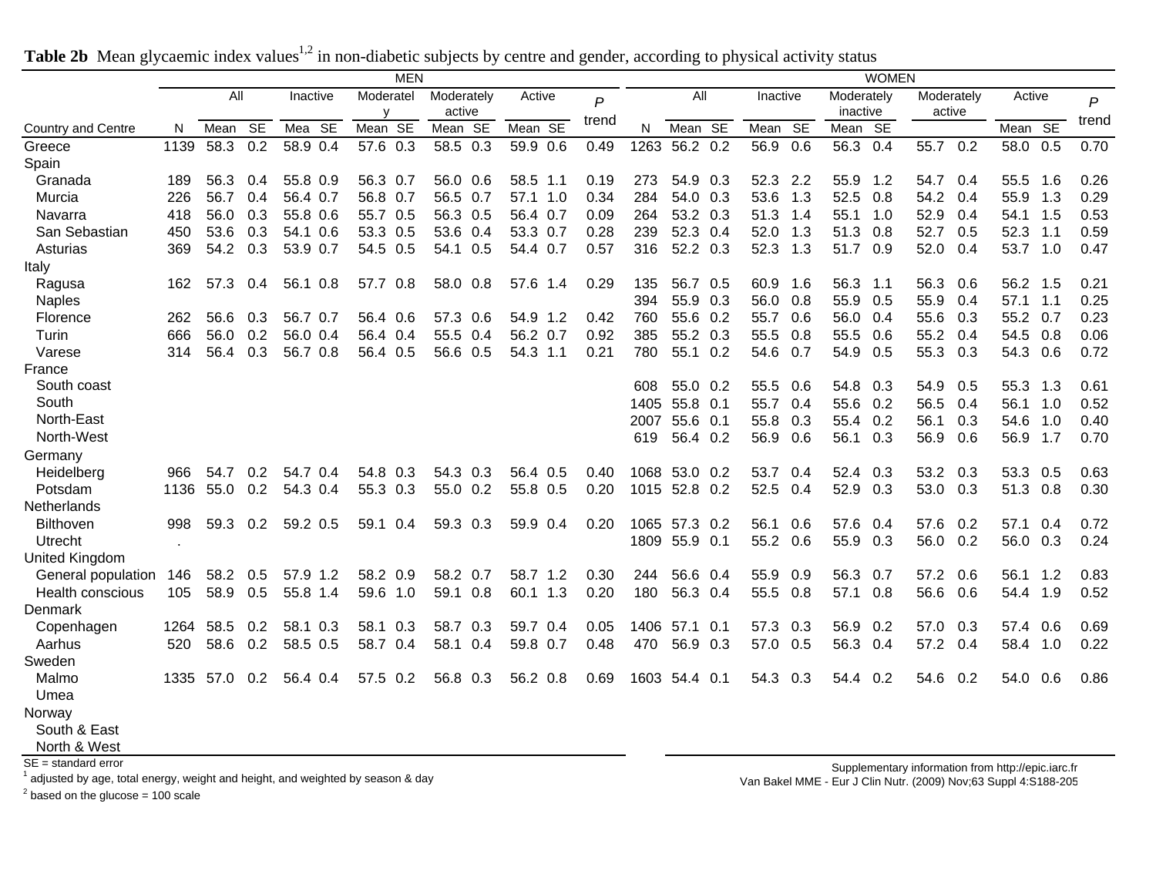|                           |      |          |                          |          | <b>MEN</b>   |             |          |       |      |               |          |     | <b>WOMEN</b> |     |          |            |          |     |              |
|---------------------------|------|----------|--------------------------|----------|--------------|-------------|----------|-------|------|---------------|----------|-----|--------------|-----|----------|------------|----------|-----|--------------|
|                           |      | All      |                          | Inactive | Moderatel    | Moderately  | Active   | P     |      | All           | Inactive |     | Moderately   |     |          | Moderately | Active   |     | $\mathsf{P}$ |
|                           |      |          |                          |          | $\mathsf{v}$ | active      |          |       |      |               |          |     | inactive     |     |          | active     |          |     | trend        |
| <b>Country and Centre</b> | N    | Mean     | $\overline{\mathsf{SE}}$ | Mea SE   | Mean SE      | Mean SE     | Mean SE  | trend | N    | Mean SE       | Mean     | SE  | Mean SE      |     |          |            | Mean SE  |     |              |
| Greece                    | 1139 | 58.3     | 0.2                      | 58.9 0.4 | 57.6 0.3     | 58.5 0.3    | 59.9 0.6 | 0.49  | 1263 | 56.2 0.2      | 56.9     | 0.6 | 56.3         | 0.4 | 55.7 0.2 |            | 58.0     | 0.5 | 0.70         |
| Spain                     |      |          |                          |          |              |             |          |       |      |               |          |     |              |     |          |            |          |     |              |
| Granada                   | 189  | 56.3     | 0.4                      | 55.8 0.9 | 56.3 0.7     | 0.6<br>56.0 | 58.5 1.1 | 0.19  | 273  | 54.9 0.3      | 52.3     | 2.2 | 55.9         | 1.2 | 54.7     | 0.4        | 55.5     | 1.6 | 0.26         |
| Murcia                    | 226  | 56.7     | 0.4                      | 56.4 0.7 | 56.8 0.7     | 56.5<br>0.7 | 57.1 1.0 | 0.34  | 284  | 54.0 0.3      | 53.6     | 1.3 | 52.5         | 0.8 | 54.2     | 0.4        | 55.9     | 1.3 | 0.29         |
| Navarra                   | 418  | 56.0     | 0.3                      | 55.8 0.6 | 55.7 0.5     | 56.3<br>0.5 | 56.4 0.7 | 0.09  | 264  | 53.2 0.3      | 51.3     | 1.4 | 55.1         | 1.0 | 52.9     | 0.4        | 54.1     | 1.5 | 0.53         |
| San Sebastian             | 450  | 53.6     | 0.3                      | 54.1 0.6 | 53.3 0.5     | 53.6<br>0.4 | 53.3 0.7 | 0.28  | 239  | 52.3 0.4      | 52.0     | 1.3 | 51.3         | 0.8 | 52.7     | 0.5        | 52.3     | 1.1 | 0.59         |
| Asturias                  | 369  | 54.2     | 0.3                      | 53.9 0.7 | 54.5 0.5     | 54.1<br>0.5 | 54.4 0.7 | 0.57  | 316  | 52.2 0.3      | 52.3     | 1.3 | 51.7 0.9     |     | 52.0     | 0.4        | 53.7 1.0 |     | 0.47         |
| Italy                     |      |          |                          |          |              |             |          |       |      |               |          |     |              |     |          |            |          |     |              |
| Ragusa                    | 162  | 57.3     | 0.4                      | 56.1 0.8 | 57.7 0.8     | 58.0<br>0.8 | 57.6 1.4 | 0.29  | 135  | 56.7 0.5      | 60.9     | 1.6 | 56.3         | 1.1 | 56.3     | 0.6        | 56.2 1.5 |     | 0.21         |
| <b>Naples</b>             |      |          |                          |          |              |             |          |       | 394  | 55.9 0.3      | 56.0     | 0.8 | 55.9         | 0.5 | 55.9     | 0.4        | 57.1     | 1.1 | 0.25         |
| Florence                  | 262  | 56.6     | 0.3                      | 56.7 0.7 | 56.4 0.6     | 57.3 0.6    | 54.9 1.2 | 0.42  | 760  | 55.6 0.2      | 55.7     | 0.6 | 56.0 0.4     |     | 55.6     | 0.3        | 55.2 0.7 |     | 0.23         |
| Turin                     | 666  | 56.0     | 0.2                      | 56.0 0.4 | 56.4 0.4     | 55.5<br>0.4 | 56.2 0.7 | 0.92  | 385  | 55.2 0.3      | 55.5     | 0.8 | 55.5         | 0.6 | 55.2     | 0.4        | 54.5 0.8 |     | 0.06         |
| Varese                    | 314  | 56.4     | 0.3                      | 56.7 0.8 | 56.4 0.5     | 56.6<br>0.5 | 54.3 1.1 | 0.21  | 780  | 55.1 0.2      | 54.6     | 0.7 | 54.9         | 0.5 | 55.3     | 0.3        | 54.3 0.6 |     | 0.72         |
| France                    |      |          |                          |          |              |             |          |       |      |               |          |     |              |     |          |            |          |     |              |
| South coast               |      |          |                          |          |              |             |          |       | 608  | 55.0 0.2      | 55.5     | 0.6 | 54.8         | 0.3 | 54.9     | 0.5        | 55.3 1.3 |     | 0.61         |
| South                     |      |          |                          |          |              |             |          |       |      | 1405 55.8 0.1 | 55.7     | 0.4 | 55.6         | 0.2 | 56.5     | 0.4        | 56.1     | 1.0 | 0.52         |
| North-East                |      |          |                          |          |              |             |          |       |      | 2007 55.6 0.1 | 55.8     | 0.3 | 55.4         | 0.2 | 56.1     | 0.3        | 54.6     | 1.0 | 0.40         |
| North-West                |      |          |                          |          |              |             |          |       | 619  | 56.4 0.2      | 56.9     | 0.6 | 56.1         | 0.3 | 56.9     | 0.6        | 56.9     | 1.7 | 0.70         |
| Germany                   |      |          |                          |          |              |             |          |       |      |               |          |     |              |     |          |            |          |     |              |
| Heidelberg                | 966  | 54.7     | 0.2                      | 54.7 0.4 | 54.8 0.3     | 54.3<br>0.3 | 56.4 0.5 | 0.40  |      | 1068 53.0 0.2 | 53.7     | 0.4 | 52.4         | 0.3 | 53.2     | 0.3        | 53.3 0.5 |     | 0.63         |
| Potsdam                   | 1136 | 55.0     | 0.2                      | 54.3 0.4 | 55.3 0.3     | 55.0<br>0.2 | 55.8 0.5 | 0.20  |      | 1015 52.8 0.2 | 52.5     | 0.4 | 52.9         | 0.3 | 53.0     | 0.3        | 51.3 0.8 |     | 0.30         |
| Netherlands               |      |          |                          |          |              |             |          |       |      |               |          |     |              |     |          |            |          |     |              |
| <b>Bilthoven</b>          | 998  | 59.3     | 0.2                      | 59.2 0.5 | 59.1 0.4     | 59.3 0.3    | 59.9 0.4 | 0.20  |      | 1065 57.3 0.2 | 56.1     | 0.6 | 57.6         | 0.4 | 57.6     | 0.2        | 57.1 0.4 |     | 0.72         |
| Utrecht                   |      |          |                          |          |              |             |          |       |      | 1809 55.9 0.1 | 55.2     | 0.6 | 55.9         | 0.3 | 56.0     | 0.2        | 56.0 0.3 |     | 0.24         |
| <b>United Kingdom</b>     |      |          |                          |          |              |             |          |       |      |               |          |     |              |     |          |            |          |     |              |
| General population 146    |      | 58.2 0.5 |                          | 57.9 1.2 | 58.2 0.9     | 58.2 0.7    | 58.7 1.2 | 0.30  | 244  | 56.6 0.4      | 55.9     | 0.9 | 56.3         | 0.7 | 57.2     | 0.6        | 56.1     | 1.2 | 0.83         |
| Health conscious          | 105  | 58.9     | 0.5                      | 55.8 1.4 | 59.6<br>1.0  | 59.1<br>0.8 | 60.1 1.3 | 0.20  | 180  | 56.3 0.4      | 55.5     | 0.8 | 57.1         | 0.8 | 56.6     | 0.6        | 54.4     | 1.9 | 0.52         |
| Denmark                   |      |          |                          |          |              |             |          |       |      |               |          |     |              |     |          |            |          |     |              |
| Copenhagen                | 1264 | 58.5     | 0.2                      | 58.1 0.3 | 58.1 0.3     | 58.7<br>0.3 | 59.7 0.4 | 0.05  |      | 1406 57.1 0.1 | 57.3     | 0.3 | 56.9         | 0.2 | 57.0     | 0.3        | 57.4 0.6 |     | 0.69         |
| Aarhus                    | 520  | 58.6     | 0.2                      | 58.5 0.5 | 58.7 0.4     | 58.1 0.4    | 59.8 0.7 | 0.48  | 470  | 56.9 0.3      | 57.0     | 0.5 | 56.3         | 0.4 | 57.2     | 0.4        | 58.4     | 1.0 | 0.22         |
| Sweden                    |      |          |                          |          |              |             |          |       |      |               |          |     |              |     |          |            |          |     |              |
| Malmo                     | 1335 | 57.0     | 0.2                      | 56.4 0.4 | 57.5 0.2     | 56.8 0.3    | 56.2 0.8 | 0.69  |      | 1603 54.4 0.1 | 54.3     | 0.3 | 54.4         | 0.2 | 54.6     | 0.2        | 54.0     | 0.6 | 0.86         |
| Umea                      |      |          |                          |          |              |             |          |       |      |               |          |     |              |     |          |            |          |     |              |
| Norway                    |      |          |                          |          |              |             |          |       |      |               |          |     |              |     |          |            |          |     |              |
| South & East              |      |          |                          |          |              |             |          |       |      |               |          |     |              |     |          |            |          |     |              |
| North & West              |      |          |                          |          |              |             |          |       |      |               |          |     |              |     |          |            |          |     |              |

Table 2b Mean glycaemic index values<sup>1,2</sup> in non-diabetic subjects by centre and gender, according to physical activity status

SE = standard error

 $1$  adjusted by age, total energy, weight and height, and weighted by season & day

Supplementary information from http://epic.iarc.fr Van Bakel MME - Eur J Clin Nutr. (2009) Nov;63 Suppl 4:S188-205

 $2$  based on the glucose = 100 scale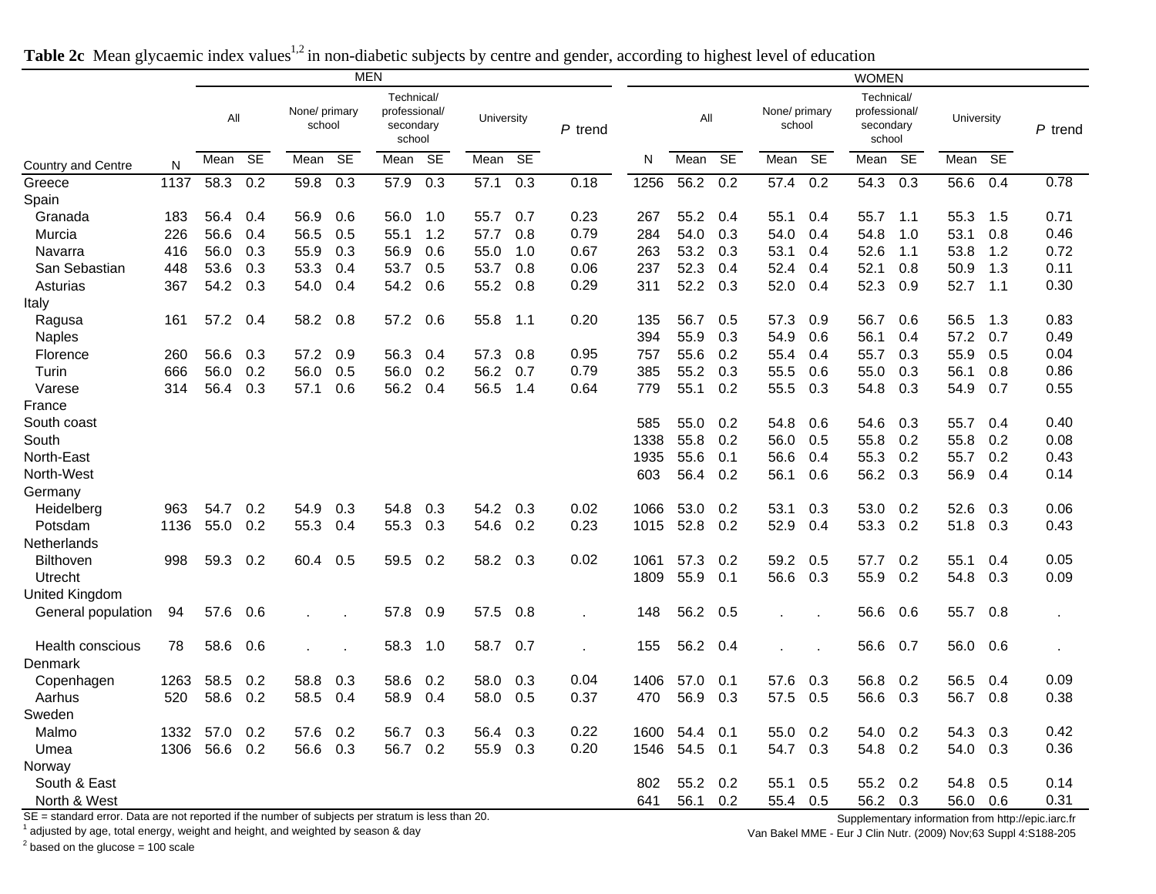|                                                                                                     |      |                                                                                                                                                     |     |      |     | <b>MEN</b> |     |           |           |      |      |                         |           |                                                    |           | <b>WOMEN</b> |           |                                                    |           |      |
|-----------------------------------------------------------------------------------------------------|------|-----------------------------------------------------------------------------------------------------------------------------------------------------|-----|------|-----|------------|-----|-----------|-----------|------|------|-------------------------|-----------|----------------------------------------------------|-----------|--------------|-----------|----------------------------------------------------|-----------|------|
|                                                                                                     |      | Technical/<br>None/ primary<br>professional/<br>All<br>school<br>secondary<br>school<br><b>SE</b><br><b>SE</b><br><b>SE</b><br>Mean<br>Mean<br>Mean |     |      |     | University |     | $P$ trend |           | All  |      | None/ primary<br>school |           | Technical/<br>professional/<br>secondary<br>school |           | University   |           | $P$ trend                                          |           |      |
| Country and Centre                                                                                  | N    |                                                                                                                                                     |     |      |     |            |     | Mean      | <b>SE</b> |      | N    | Mean                    | <b>SE</b> | Mean                                               | <b>SE</b> | Mean         | <b>SE</b> | Mean                                               | <b>SE</b> |      |
| Greece                                                                                              | 1137 | 58.3                                                                                                                                                | 0.2 | 59.8 | 0.3 | 57.9       | 0.3 | 57.1      | 0.3       | 0.18 | 1256 | 56.2                    | 0.2       | 57.4                                               | 0.2       | 54.3         | 0.3       | 56.6                                               | 0.4       | 0.78 |
| Spain                                                                                               |      |                                                                                                                                                     |     |      |     |            |     |           |           |      |      |                         |           |                                                    |           |              |           |                                                    |           |      |
| Granada                                                                                             | 183  | 56.4                                                                                                                                                | 0.4 | 56.9 | 0.6 | 56.0       | 1.0 | 55.7      | 0.7       | 0.23 | 267  | 55.2                    | 0.4       | 55.1                                               | 0.4       | 55.7         | 1.1       | 55.3                                               | 1.5       | 0.71 |
| Murcia                                                                                              | 226  | 56.6                                                                                                                                                | 0.4 | 56.5 | 0.5 | 55.1       | 1.2 | 57.7      | 0.8       | 0.79 | 284  | 54.0                    | 0.3       | 54.0                                               | 0.4       | 54.8         | 1.0       | 53.1                                               | 0.8       | 0.46 |
| Navarra                                                                                             | 416  | 56.0                                                                                                                                                | 0.3 | 55.9 | 0.3 | 56.9       | 0.6 | 55.0      | 1.0       | 0.67 | 263  | 53.2                    | 0.3       | 53.1                                               | 0.4       | 52.6         | 1.1       | 53.8                                               | 1.2       | 0.72 |
| San Sebastian                                                                                       | 448  | 53.6                                                                                                                                                | 0.3 | 53.3 | 0.4 | 53.7       | 0.5 | 53.7      | 0.8       | 0.06 | 237  | 52.3                    | 0.4       | 52.4                                               | 0.4       | 52.1         | 0.8       | 50.9                                               | 1.3       | 0.11 |
| Asturias                                                                                            | 367  | 54.2                                                                                                                                                | 0.3 | 54.0 | 0.4 | 54.2       | 0.6 | 55.2      | 0.8       | 0.29 | 311  | 52.2                    | 0.3       | 52.0                                               | 0.4       | 52.3         | 0.9       | 52.7                                               | 1.1       | 0.30 |
| Italy                                                                                               |      |                                                                                                                                                     |     |      |     |            |     |           |           |      |      |                         |           |                                                    |           |              |           |                                                    |           |      |
| Ragusa                                                                                              | 161  | 57.2                                                                                                                                                | 0.4 | 58.2 | 0.8 | 57.2       | 0.6 | 55.8      | 1.1       | 0.20 | 135  | 56.7                    | 0.5       | 57.3                                               | 0.9       | 56.7         | 0.6       | 56.5                                               | 1.3       | 0.83 |
| <b>Naples</b>                                                                                       |      |                                                                                                                                                     |     |      |     |            |     |           |           |      | 394  | 55.9                    | 0.3       | 54.9                                               | 0.6       | 56.1         | 0.4       | 57.2                                               | 0.7       | 0.49 |
| Florence                                                                                            | 260  | 56.6                                                                                                                                                | 0.3 | 57.2 | 0.9 | 56.3       | 0.4 | 57.3      | 0.8       | 0.95 | 757  | 55.6                    | 0.2       | 55.4                                               | 0.4       | 55.7         | 0.3       | 55.9                                               | 0.5       | 0.04 |
| Turin                                                                                               | 666  | 56.0                                                                                                                                                | 0.2 | 56.0 | 0.5 | 56.0       | 0.2 | 56.2      | 0.7       | 0.79 | 385  | 55.2                    | 0.3       | 55.5                                               | 0.6       | 55.0         | 0.3       | 56.1                                               | 0.8       | 0.86 |
| Varese                                                                                              | 314  | 56.4                                                                                                                                                | 0.3 | 57.1 | 0.6 | 56.2       | 0.4 | 56.5      | 1.4       | 0.64 | 779  | 55.1                    | 0.2       | 55.5                                               | 0.3       | 54.8         | 0.3       | 54.9                                               | 0.7       | 0.55 |
| France                                                                                              |      |                                                                                                                                                     |     |      |     |            |     |           |           |      |      |                         |           |                                                    |           |              |           |                                                    |           |      |
| South coast                                                                                         |      |                                                                                                                                                     |     |      |     |            |     |           |           |      | 585  | 55.0                    | 0.2       | 54.8                                               | 0.6       | 54.6         | 0.3       | 55.7                                               | 0.4       | 0.40 |
| South                                                                                               |      |                                                                                                                                                     |     |      |     |            |     |           |           |      | 1338 | 55.8                    | 0.2       | 56.0                                               | 0.5       | 55.8         | 0.2       | 55.8                                               | 0.2       | 0.08 |
| North-East                                                                                          |      |                                                                                                                                                     |     |      |     |            |     |           |           |      | 1935 | 55.6                    | 0.1       | 56.6                                               | 0.4       | 55.3         | 0.2       | 55.7                                               | 0.2       | 0.43 |
| North-West                                                                                          |      |                                                                                                                                                     |     |      |     |            |     |           |           |      | 603  | 56.4                    | 0.2       | 56.1                                               | 0.6       | 56.2         | 0.3       | 56.9                                               | 0.4       | 0.14 |
| Germany                                                                                             |      |                                                                                                                                                     |     |      |     |            |     |           |           |      |      |                         |           |                                                    |           |              |           |                                                    |           |      |
| Heidelberg                                                                                          | 963  | 54.7                                                                                                                                                | 0.2 | 54.9 | 0.3 | 54.8       | 0.3 | 54.2      | 0.3       | 0.02 | 1066 | 53.0                    | 0.2       | 53.1                                               | 0.3       | 53.0         | 0.2       | 52.6                                               | 0.3       | 0.06 |
| Potsdam                                                                                             | 1136 | 55.0                                                                                                                                                | 0.2 | 55.3 | 0.4 | 55.3       | 0.3 | 54.6      | 0.2       | 0.23 | 1015 | 52.8                    | 0.2       | 52.9                                               | 0.4       | 53.3         | 0.2       | 51.8                                               | 0.3       | 0.43 |
| Netherlands                                                                                         |      |                                                                                                                                                     |     |      |     |            |     |           |           |      |      |                         |           |                                                    |           |              |           |                                                    |           |      |
| <b>Bilthoven</b>                                                                                    | 998  | 59.3                                                                                                                                                | 0.2 | 60.4 | 0.5 | 59.5       | 0.2 | 58.2      | 0.3       | 0.02 | 1061 | 57.3                    | 0.2       | 59.2                                               | 0.5       | 57.7         | 0.2       | 55.1                                               | 0.4       | 0.05 |
| Utrecht                                                                                             |      |                                                                                                                                                     |     |      |     |            |     |           |           |      | 1809 | 55.9                    | 0.1       | 56.6                                               | 0.3       | 55.9         | 0.2       | 54.8                                               | 0.3       | 0.09 |
| <b>United Kingdom</b>                                                                               |      |                                                                                                                                                     |     |      |     |            |     |           |           |      |      |                         |           |                                                    |           |              |           |                                                    |           |      |
| General population                                                                                  | 94   | 57.6                                                                                                                                                | 0.6 |      |     | 57.8       | 0.9 | 57.5      | 0.8       |      | 148  | 56.2                    | 0.5       |                                                    |           | 56.6         | 0.6       | 55.7                                               | 0.8       |      |
| Health conscious                                                                                    | 78   | 58.6                                                                                                                                                | 0.6 |      |     | 58.3       | 1.0 | 58.7      | 0.7       |      | 155  | 56.2                    | 0.4       |                                                    |           | 56.6         | 0.7       | 56.0 0.6                                           |           |      |
| Denmark                                                                                             |      |                                                                                                                                                     |     |      |     |            |     |           |           |      |      |                         |           |                                                    |           |              |           |                                                    |           |      |
| Copenhagen                                                                                          | 1263 | 58.5                                                                                                                                                | 0.2 | 58.8 | 0.3 | 58.6       | 0.2 | 58.0      | 0.3       | 0.04 | 1406 | 57.0                    | 0.1       | 57.6                                               | 0.3       | 56.8         | 0.2       | 56.5                                               | 0.4       | 0.09 |
| Aarhus                                                                                              | 520  | 58.6                                                                                                                                                | 0.2 | 58.5 | 0.4 | 58.9       | 0.4 | 58.0      | 0.5       | 0.37 | 470  | 56.9                    | 0.3       | 57.5                                               | 0.5       | 56.6         | 0.3       | 56.7                                               | 0.8       | 0.38 |
| Sweden                                                                                              |      |                                                                                                                                                     |     |      |     |            |     |           |           |      |      |                         |           |                                                    |           |              |           |                                                    |           |      |
| Malmo                                                                                               | 1332 | 57.0                                                                                                                                                | 0.2 | 57.6 | 0.2 | 56.7       | 0.3 | 56.4      | 0.3       | 0.22 | 1600 | 54.4                    | 0.1       | 55.0                                               | 0.2       | 54.0         | 0.2       | 54.3                                               | 0.3       | 0.42 |
| Umea                                                                                                | 1306 | 56.6                                                                                                                                                | 0.2 | 56.6 | 0.3 | 56.7       | 0.2 | 55.9      | 0.3       | 0.20 | 1546 | 54.5                    | 0.1       | 54.7                                               | 0.3       | 54.8         | 0.2       | 54.0                                               | 0.3       | 0.36 |
| Norway                                                                                              |      |                                                                                                                                                     |     |      |     |            |     |           |           |      |      |                         |           |                                                    |           |              |           |                                                    |           |      |
| South & East                                                                                        |      |                                                                                                                                                     |     |      |     |            |     |           |           |      | 802  | 55.2                    | 0.2       | 55.1                                               | 0.5       | 55.2         | 0.2       | 54.8                                               | 0.5       | 0.14 |
| North & West                                                                                        |      |                                                                                                                                                     |     |      |     |            |     |           |           |      | 641  | 56.1                    | 0.2       | 55.4                                               | 0.5       | 56.2         | 0.3       | 56.0                                               | 0.6       | 0.31 |
| $SE =$ standard error. Data are not reported if the number of subjects per stratum is less than 20. |      |                                                                                                                                                     |     |      |     |            |     |           |           |      |      |                         |           |                                                    |           |              |           | Supplementary information from http://epic.iarc.fr |           |      |

Table 2c Mean glycaemic index values<sup>1,2</sup> in non-diabetic subjects by centre and gender, according to highest level of education

SE = standard error. Data are not reported if the number of subjects per stratum is less than 20.  $1$  adjusted by age, total energy, weight and height, and weighted by season & day

Van Bakel MME - Eur J Clin Nutr. (2009) Nov;63 Suppl 4:S188-205

 $2$  based on the glucose = 100 scale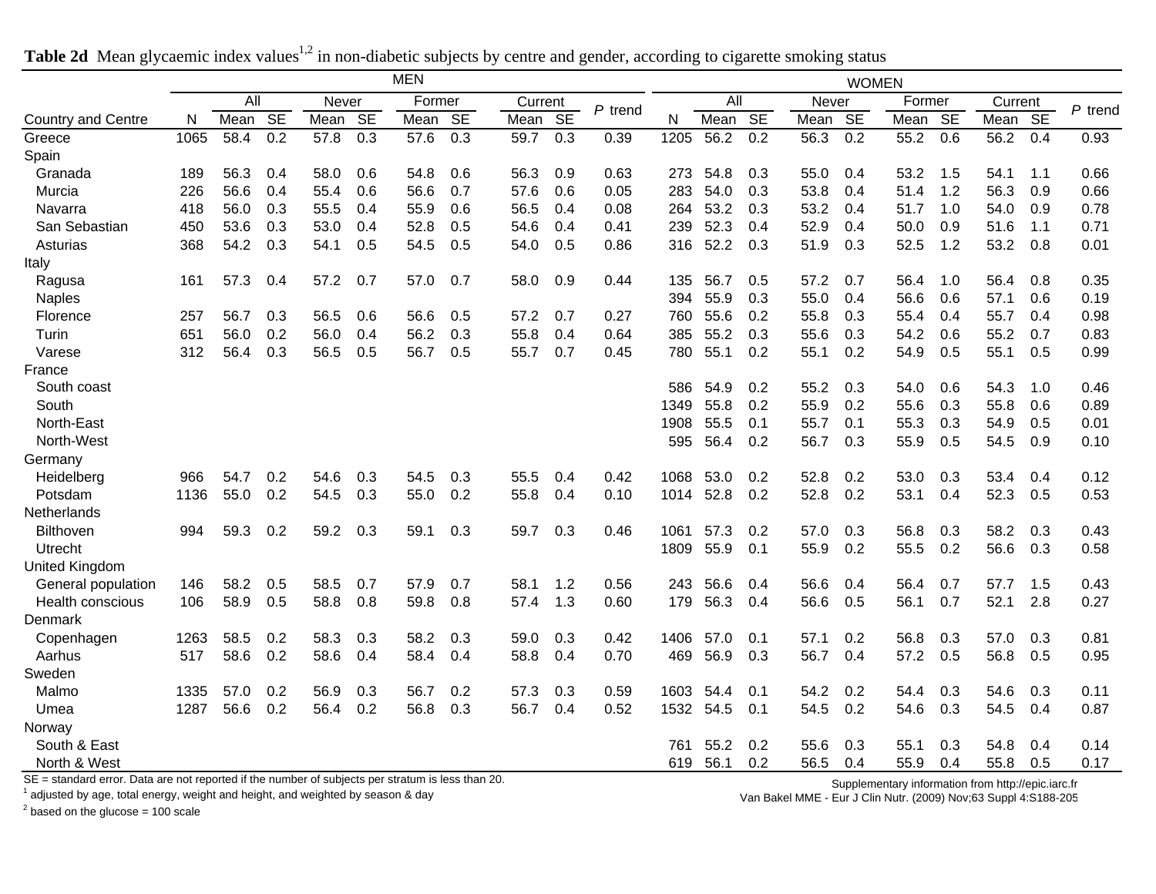| All<br>All<br>Former<br>Never<br>Former<br>Current<br>Never<br>Current<br>$P$ trend<br>$P$ trend<br>SE<br>SE<br>$\overline{\text{SE}}$<br>$\overline{\text{SE}}$<br>$\overline{\text{SE}}$<br>SE<br>$\overline{\mathsf{SE}}$<br>Mean<br><b>SE</b><br>Mean<br>Country and Centre<br>Mean<br>Mean<br>Mean<br>N<br>Mean<br>Mean<br>Mean<br>N<br>0.2<br>$\overline{56.2}$<br>0.93<br>1065<br>58.4<br>57.8<br>0.3<br>57.6<br>0.3<br>59.7<br>0.3<br>0.39<br>1205<br>0.2<br>56.3<br>0.2<br>55.2<br>0.6<br>56.2<br>0.4<br>Greece<br>Spain<br>Granada<br>189<br>56.3<br>0.4<br>58.0<br>0.6<br>54.8<br>0.6<br>56.3<br>0.9<br>0.63<br>54.8<br>0.3<br>55.0<br>0.4<br>53.2<br>54.1<br>1.1<br>0.66<br>273<br>1.5<br>0.66<br>226<br>56.6<br>0.4<br>55.4<br>0.6<br>56.6<br>0.7<br>57.6<br>0.6<br>283<br>54.0<br>0.3<br>53.8<br>0.4<br>51.4<br>1.2<br>56.3<br>0.9<br>Murcia<br>0.05<br>0.78<br>418<br>56.0<br>0.3<br>55.5<br>0.4<br>55.9<br>0.6<br>56.5<br>0.4<br>264<br>53.2<br>0.3<br>53.2<br>0.4<br>51.7<br>54.0<br>0.9<br>Navarra<br>0.08<br>1.0<br>San Sebastian<br>52.3<br>0.71<br>53.6<br>0.3<br>53.0<br>0.4<br>54.6<br>239<br>52.9<br>50.0<br>51.6<br>450<br>52.8<br>0.5<br>0.4<br>0.41<br>0.4<br>0.4<br>0.9<br>1.1<br>54.2<br>Asturias<br>368<br>0.3<br>54.1<br>0.5<br>54.5<br>0.5<br>54.0<br>0.5<br>316<br>52.2<br>0.3<br>51.9<br>0.3<br>52.5<br>1.2<br>53.2<br>0.8<br>0.01<br>0.86<br>Italy<br>57.3<br>0.4<br>57.2<br>0.7<br>57.0<br>0.7<br>58.0<br>56.7<br>57.2<br>0.7<br>56.4<br>0.35<br>161<br>0.9<br>0.44<br>135<br>0.5<br>56.4<br>1.0<br>0.8<br>Ragusa<br>394<br>55.9<br>0.3<br>55.0<br>56.6<br>57.1<br>0.6<br>0.19<br><b>Naples</b><br>0.4<br>0.6<br>0.98<br>257<br>0.3<br>56.5<br>0.6<br>0.7<br>0.27<br>760<br>55.6<br>0.2<br>55.8<br>0.3<br>55.4<br>0.4<br>55.7<br>0.4<br>Florence<br>56.7<br>56.6<br>0.5<br>57.2<br>56.0<br>0.2<br>0.4<br>0.3<br>55.8<br>0.4<br>55.2<br>54.2<br>0.83<br>Turin<br>651<br>56.0<br>56.2<br>0.64<br>385<br>0.3<br>55.6<br>0.3<br>0.6<br>55.2<br>0.7<br>0.99<br>312<br>56.4<br>0.3<br>56.5<br>0.5<br>0.5<br>55.7<br>0.7<br>780<br>55.1<br>0.2<br>55.1<br>0.2<br>54.9<br>0.5<br>Varese<br>56.7<br>0.45<br>0.5<br>55.1<br>France<br>South coast<br>586<br>0.2<br>55.2<br>0.3<br>54.3<br>0.46<br>54.9<br>54.0<br>0.6<br>1.0<br>South<br>0.89<br>1349<br>55.8<br>0.2<br>55.9<br>0.2<br>55.6<br>0.3<br>55.8<br>0.6<br>North-East<br>0.01<br>1908<br>55.5<br>55.7<br>55.3<br>0.3<br>0.5<br>0.1<br>0.1<br>54.9<br>North-West<br>56.7<br>55.9<br>0.10<br>595<br>56.4<br>0.2<br>0.3<br>0.5<br>54.5<br>0.9<br>Germany<br>966<br>54.7<br>0.2<br>54.6<br>0.3<br>54.5<br>0.3<br>55.5<br>0.4<br>0.42<br>1068<br>53.0<br>0.2<br>52.8<br>0.2<br>53.0<br>0.3<br>53.4<br>0.4<br>0.12<br>Heidelberg<br>55.0<br>0.2<br>54.5<br>0.3<br>55.8<br>52.8<br>0.53<br>1136<br>55.0<br>0.2<br>0.4<br>52.8<br>0.2<br>0.2<br>53.1<br>0.4<br>52.3<br>0.5<br>Potsdam<br>0.10<br>1014<br>Netherlands<br>59.3<br>0.2<br>59.2<br>0.3<br>59.7<br>0.2<br>0.43<br><b>Bilthoven</b><br>994<br>59.1<br>0.3<br>0.3<br>0.46<br>1061<br>57.3<br>57.0<br>0.3<br>56.8<br>0.3<br>58.2<br>0.3<br>0.58<br>Utrecht<br>1809<br>55.9<br>55.9<br>0.2<br>55.5<br>0.2<br>56.6<br>0.3<br>0.1<br><b>United Kingdom</b><br>58.2<br>0.5<br>58.5<br>0.7<br>57.9<br>0.7<br>58.1<br>0.56<br>243<br>56.6<br>56.6<br>57.7<br>1.5<br>0.43<br>General population<br>146<br>1.2<br>0.4<br>0.4<br>56.4<br>0.7<br>0.27<br>58.9<br>0.5<br>58.8<br>0.8<br>0.8<br>56.6<br>2.8<br>Health conscious<br>106<br>59.8<br>57.4<br>1.3<br>0.60<br>179<br>56.3<br>0.4<br>0.5<br>56.1<br>0.7<br>52.1<br>Denmark<br>Copenhagen<br>1263<br>58.5<br>0.2<br>58.3<br>0.3<br>58.2<br>0.3<br>59.0<br>0.3<br>0.42<br>1406<br>57.0<br>57.1<br>0.2<br>56.8<br>0.3<br>57.0<br>0.3<br>0.81<br>0.1<br>58.6<br>58.6<br>57.2<br>0.95<br>Aarhus<br>517<br>0.2<br>0.4<br>0.4<br>58.8<br>0.4<br>0.70<br>469<br>56.9<br>0.3<br>56.7<br>0.4<br>56.8<br>0.5<br>58.4<br>0.5<br>Sweden<br>0.2<br>0.3<br>0.2<br>0.59<br>Malmo<br>1335<br>57.0<br>56.9<br>57.3<br>0.3<br>1603<br>54.4<br>54.2<br>0.2<br>54.4<br>0.3<br>54.6<br>0.3<br>0.11<br>56.7<br>0.1<br>56.6<br>0.2<br>0.2<br>56.7<br>54.5<br>0.87<br>1287<br>56.4<br>56.8<br>0.3<br>0.4<br>0.52<br>1532<br>54.5<br>0.2<br>54.6<br>0.3<br>54.5<br>0.4<br>Umea<br>0.1<br>Norway<br>South & East<br>761<br>0.2<br>55.6<br>55.1<br>54.8<br>0.14<br>55.2<br>0.3<br>0.3<br>0.4<br>56.1<br>0.2<br>0.17<br>North & West<br>619<br>56.5<br>0.4<br>55.9<br>0.4<br>55.8<br>0.5 |  |  |  | <b>MEN</b> |  |  |  |  | <b>WOMEN</b> |  |  |  |
|-----------------------------------------------------------------------------------------------------------------------------------------------------------------------------------------------------------------------------------------------------------------------------------------------------------------------------------------------------------------------------------------------------------------------------------------------------------------------------------------------------------------------------------------------------------------------------------------------------------------------------------------------------------------------------------------------------------------------------------------------------------------------------------------------------------------------------------------------------------------------------------------------------------------------------------------------------------------------------------------------------------------------------------------------------------------------------------------------------------------------------------------------------------------------------------------------------------------------------------------------------------------------------------------------------------------------------------------------------------------------------------------------------------------------------------------------------------------------------------------------------------------------------------------------------------------------------------------------------------------------------------------------------------------------------------------------------------------------------------------------------------------------------------------------------------------------------------------------------------------------------------------------------------------------------------------------------------------------------------------------------------------------------------------------------------------------------------------------------------------------------------------------------------------------------------------------------------------------------------------------------------------------------------------------------------------------------------------------------------------------------------------------------------------------------------------------------------------------------------------------------------------------------------------------------------------------------------------------------------------------------------------------------------------------------------------------------------------------------------------------------------------------------------------------------------------------------------------------------------------------------------------------------------------------------------------------------------------------------------------------------------------------------------------------------------------------------------------------------------------------------------------------------------------------------------------------------------------------------------------------------------------------------------------------------------------------------------------------------------------------------------------------------------------------------------------------------------------------------------------------------------------------------------------------------------------------------------------------------------------------------------------------------------------------------------------------------------------------------------------------------------------------------------------------------------------------------------------------------------------------------------------------------------------------------------------------------------------------------------------------------------------------------------------------------------------------------------------------------------------------------------------------------------------------------------------------------------------------------------------------------------------------------------------------------------------------------------------------------------------------------------------------------------------------------------------------|--|--|--|------------|--|--|--|--|--------------|--|--|--|
|                                                                                                                                                                                                                                                                                                                                                                                                                                                                                                                                                                                                                                                                                                                                                                                                                                                                                                                                                                                                                                                                                                                                                                                                                                                                                                                                                                                                                                                                                                                                                                                                                                                                                                                                                                                                                                                                                                                                                                                                                                                                                                                                                                                                                                                                                                                                                                                                                                                                                                                                                                                                                                                                                                                                                                                                                                                                                                                                                                                                                                                                                                                                                                                                                                                                                                                                                                                                                                                                                                                                                                                                                                                                                                                                                                                                                                                                                                                                                                                                                                                                                                                                                                                                                                                                                                                                                                                                                                               |  |  |  |            |  |  |  |  |              |  |  |  |
|                                                                                                                                                                                                                                                                                                                                                                                                                                                                                                                                                                                                                                                                                                                                                                                                                                                                                                                                                                                                                                                                                                                                                                                                                                                                                                                                                                                                                                                                                                                                                                                                                                                                                                                                                                                                                                                                                                                                                                                                                                                                                                                                                                                                                                                                                                                                                                                                                                                                                                                                                                                                                                                                                                                                                                                                                                                                                                                                                                                                                                                                                                                                                                                                                                                                                                                                                                                                                                                                                                                                                                                                                                                                                                                                                                                                                                                                                                                                                                                                                                                                                                                                                                                                                                                                                                                                                                                                                                               |  |  |  |            |  |  |  |  |              |  |  |  |
|                                                                                                                                                                                                                                                                                                                                                                                                                                                                                                                                                                                                                                                                                                                                                                                                                                                                                                                                                                                                                                                                                                                                                                                                                                                                                                                                                                                                                                                                                                                                                                                                                                                                                                                                                                                                                                                                                                                                                                                                                                                                                                                                                                                                                                                                                                                                                                                                                                                                                                                                                                                                                                                                                                                                                                                                                                                                                                                                                                                                                                                                                                                                                                                                                                                                                                                                                                                                                                                                                                                                                                                                                                                                                                                                                                                                                                                                                                                                                                                                                                                                                                                                                                                                                                                                                                                                                                                                                                               |  |  |  |            |  |  |  |  |              |  |  |  |
|                                                                                                                                                                                                                                                                                                                                                                                                                                                                                                                                                                                                                                                                                                                                                                                                                                                                                                                                                                                                                                                                                                                                                                                                                                                                                                                                                                                                                                                                                                                                                                                                                                                                                                                                                                                                                                                                                                                                                                                                                                                                                                                                                                                                                                                                                                                                                                                                                                                                                                                                                                                                                                                                                                                                                                                                                                                                                                                                                                                                                                                                                                                                                                                                                                                                                                                                                                                                                                                                                                                                                                                                                                                                                                                                                                                                                                                                                                                                                                                                                                                                                                                                                                                                                                                                                                                                                                                                                                               |  |  |  |            |  |  |  |  |              |  |  |  |
|                                                                                                                                                                                                                                                                                                                                                                                                                                                                                                                                                                                                                                                                                                                                                                                                                                                                                                                                                                                                                                                                                                                                                                                                                                                                                                                                                                                                                                                                                                                                                                                                                                                                                                                                                                                                                                                                                                                                                                                                                                                                                                                                                                                                                                                                                                                                                                                                                                                                                                                                                                                                                                                                                                                                                                                                                                                                                                                                                                                                                                                                                                                                                                                                                                                                                                                                                                                                                                                                                                                                                                                                                                                                                                                                                                                                                                                                                                                                                                                                                                                                                                                                                                                                                                                                                                                                                                                                                                               |  |  |  |            |  |  |  |  |              |  |  |  |
|                                                                                                                                                                                                                                                                                                                                                                                                                                                                                                                                                                                                                                                                                                                                                                                                                                                                                                                                                                                                                                                                                                                                                                                                                                                                                                                                                                                                                                                                                                                                                                                                                                                                                                                                                                                                                                                                                                                                                                                                                                                                                                                                                                                                                                                                                                                                                                                                                                                                                                                                                                                                                                                                                                                                                                                                                                                                                                                                                                                                                                                                                                                                                                                                                                                                                                                                                                                                                                                                                                                                                                                                                                                                                                                                                                                                                                                                                                                                                                                                                                                                                                                                                                                                                                                                                                                                                                                                                                               |  |  |  |            |  |  |  |  |              |  |  |  |
|                                                                                                                                                                                                                                                                                                                                                                                                                                                                                                                                                                                                                                                                                                                                                                                                                                                                                                                                                                                                                                                                                                                                                                                                                                                                                                                                                                                                                                                                                                                                                                                                                                                                                                                                                                                                                                                                                                                                                                                                                                                                                                                                                                                                                                                                                                                                                                                                                                                                                                                                                                                                                                                                                                                                                                                                                                                                                                                                                                                                                                                                                                                                                                                                                                                                                                                                                                                                                                                                                                                                                                                                                                                                                                                                                                                                                                                                                                                                                                                                                                                                                                                                                                                                                                                                                                                                                                                                                                               |  |  |  |            |  |  |  |  |              |  |  |  |
|                                                                                                                                                                                                                                                                                                                                                                                                                                                                                                                                                                                                                                                                                                                                                                                                                                                                                                                                                                                                                                                                                                                                                                                                                                                                                                                                                                                                                                                                                                                                                                                                                                                                                                                                                                                                                                                                                                                                                                                                                                                                                                                                                                                                                                                                                                                                                                                                                                                                                                                                                                                                                                                                                                                                                                                                                                                                                                                                                                                                                                                                                                                                                                                                                                                                                                                                                                                                                                                                                                                                                                                                                                                                                                                                                                                                                                                                                                                                                                                                                                                                                                                                                                                                                                                                                                                                                                                                                                               |  |  |  |            |  |  |  |  |              |  |  |  |
|                                                                                                                                                                                                                                                                                                                                                                                                                                                                                                                                                                                                                                                                                                                                                                                                                                                                                                                                                                                                                                                                                                                                                                                                                                                                                                                                                                                                                                                                                                                                                                                                                                                                                                                                                                                                                                                                                                                                                                                                                                                                                                                                                                                                                                                                                                                                                                                                                                                                                                                                                                                                                                                                                                                                                                                                                                                                                                                                                                                                                                                                                                                                                                                                                                                                                                                                                                                                                                                                                                                                                                                                                                                                                                                                                                                                                                                                                                                                                                                                                                                                                                                                                                                                                                                                                                                                                                                                                                               |  |  |  |            |  |  |  |  |              |  |  |  |
|                                                                                                                                                                                                                                                                                                                                                                                                                                                                                                                                                                                                                                                                                                                                                                                                                                                                                                                                                                                                                                                                                                                                                                                                                                                                                                                                                                                                                                                                                                                                                                                                                                                                                                                                                                                                                                                                                                                                                                                                                                                                                                                                                                                                                                                                                                                                                                                                                                                                                                                                                                                                                                                                                                                                                                                                                                                                                                                                                                                                                                                                                                                                                                                                                                                                                                                                                                                                                                                                                                                                                                                                                                                                                                                                                                                                                                                                                                                                                                                                                                                                                                                                                                                                                                                                                                                                                                                                                                               |  |  |  |            |  |  |  |  |              |  |  |  |
|                                                                                                                                                                                                                                                                                                                                                                                                                                                                                                                                                                                                                                                                                                                                                                                                                                                                                                                                                                                                                                                                                                                                                                                                                                                                                                                                                                                                                                                                                                                                                                                                                                                                                                                                                                                                                                                                                                                                                                                                                                                                                                                                                                                                                                                                                                                                                                                                                                                                                                                                                                                                                                                                                                                                                                                                                                                                                                                                                                                                                                                                                                                                                                                                                                                                                                                                                                                                                                                                                                                                                                                                                                                                                                                                                                                                                                                                                                                                                                                                                                                                                                                                                                                                                                                                                                                                                                                                                                               |  |  |  |            |  |  |  |  |              |  |  |  |
|                                                                                                                                                                                                                                                                                                                                                                                                                                                                                                                                                                                                                                                                                                                                                                                                                                                                                                                                                                                                                                                                                                                                                                                                                                                                                                                                                                                                                                                                                                                                                                                                                                                                                                                                                                                                                                                                                                                                                                                                                                                                                                                                                                                                                                                                                                                                                                                                                                                                                                                                                                                                                                                                                                                                                                                                                                                                                                                                                                                                                                                                                                                                                                                                                                                                                                                                                                                                                                                                                                                                                                                                                                                                                                                                                                                                                                                                                                                                                                                                                                                                                                                                                                                                                                                                                                                                                                                                                                               |  |  |  |            |  |  |  |  |              |  |  |  |
|                                                                                                                                                                                                                                                                                                                                                                                                                                                                                                                                                                                                                                                                                                                                                                                                                                                                                                                                                                                                                                                                                                                                                                                                                                                                                                                                                                                                                                                                                                                                                                                                                                                                                                                                                                                                                                                                                                                                                                                                                                                                                                                                                                                                                                                                                                                                                                                                                                                                                                                                                                                                                                                                                                                                                                                                                                                                                                                                                                                                                                                                                                                                                                                                                                                                                                                                                                                                                                                                                                                                                                                                                                                                                                                                                                                                                                                                                                                                                                                                                                                                                                                                                                                                                                                                                                                                                                                                                                               |  |  |  |            |  |  |  |  |              |  |  |  |
|                                                                                                                                                                                                                                                                                                                                                                                                                                                                                                                                                                                                                                                                                                                                                                                                                                                                                                                                                                                                                                                                                                                                                                                                                                                                                                                                                                                                                                                                                                                                                                                                                                                                                                                                                                                                                                                                                                                                                                                                                                                                                                                                                                                                                                                                                                                                                                                                                                                                                                                                                                                                                                                                                                                                                                                                                                                                                                                                                                                                                                                                                                                                                                                                                                                                                                                                                                                                                                                                                                                                                                                                                                                                                                                                                                                                                                                                                                                                                                                                                                                                                                                                                                                                                                                                                                                                                                                                                                               |  |  |  |            |  |  |  |  |              |  |  |  |
|                                                                                                                                                                                                                                                                                                                                                                                                                                                                                                                                                                                                                                                                                                                                                                                                                                                                                                                                                                                                                                                                                                                                                                                                                                                                                                                                                                                                                                                                                                                                                                                                                                                                                                                                                                                                                                                                                                                                                                                                                                                                                                                                                                                                                                                                                                                                                                                                                                                                                                                                                                                                                                                                                                                                                                                                                                                                                                                                                                                                                                                                                                                                                                                                                                                                                                                                                                                                                                                                                                                                                                                                                                                                                                                                                                                                                                                                                                                                                                                                                                                                                                                                                                                                                                                                                                                                                                                                                                               |  |  |  |            |  |  |  |  |              |  |  |  |
|                                                                                                                                                                                                                                                                                                                                                                                                                                                                                                                                                                                                                                                                                                                                                                                                                                                                                                                                                                                                                                                                                                                                                                                                                                                                                                                                                                                                                                                                                                                                                                                                                                                                                                                                                                                                                                                                                                                                                                                                                                                                                                                                                                                                                                                                                                                                                                                                                                                                                                                                                                                                                                                                                                                                                                                                                                                                                                                                                                                                                                                                                                                                                                                                                                                                                                                                                                                                                                                                                                                                                                                                                                                                                                                                                                                                                                                                                                                                                                                                                                                                                                                                                                                                                                                                                                                                                                                                                                               |  |  |  |            |  |  |  |  |              |  |  |  |
|                                                                                                                                                                                                                                                                                                                                                                                                                                                                                                                                                                                                                                                                                                                                                                                                                                                                                                                                                                                                                                                                                                                                                                                                                                                                                                                                                                                                                                                                                                                                                                                                                                                                                                                                                                                                                                                                                                                                                                                                                                                                                                                                                                                                                                                                                                                                                                                                                                                                                                                                                                                                                                                                                                                                                                                                                                                                                                                                                                                                                                                                                                                                                                                                                                                                                                                                                                                                                                                                                                                                                                                                                                                                                                                                                                                                                                                                                                                                                                                                                                                                                                                                                                                                                                                                                                                                                                                                                                               |  |  |  |            |  |  |  |  |              |  |  |  |
|                                                                                                                                                                                                                                                                                                                                                                                                                                                                                                                                                                                                                                                                                                                                                                                                                                                                                                                                                                                                                                                                                                                                                                                                                                                                                                                                                                                                                                                                                                                                                                                                                                                                                                                                                                                                                                                                                                                                                                                                                                                                                                                                                                                                                                                                                                                                                                                                                                                                                                                                                                                                                                                                                                                                                                                                                                                                                                                                                                                                                                                                                                                                                                                                                                                                                                                                                                                                                                                                                                                                                                                                                                                                                                                                                                                                                                                                                                                                                                                                                                                                                                                                                                                                                                                                                                                                                                                                                                               |  |  |  |            |  |  |  |  |              |  |  |  |
|                                                                                                                                                                                                                                                                                                                                                                                                                                                                                                                                                                                                                                                                                                                                                                                                                                                                                                                                                                                                                                                                                                                                                                                                                                                                                                                                                                                                                                                                                                                                                                                                                                                                                                                                                                                                                                                                                                                                                                                                                                                                                                                                                                                                                                                                                                                                                                                                                                                                                                                                                                                                                                                                                                                                                                                                                                                                                                                                                                                                                                                                                                                                                                                                                                                                                                                                                                                                                                                                                                                                                                                                                                                                                                                                                                                                                                                                                                                                                                                                                                                                                                                                                                                                                                                                                                                                                                                                                                               |  |  |  |            |  |  |  |  |              |  |  |  |
|                                                                                                                                                                                                                                                                                                                                                                                                                                                                                                                                                                                                                                                                                                                                                                                                                                                                                                                                                                                                                                                                                                                                                                                                                                                                                                                                                                                                                                                                                                                                                                                                                                                                                                                                                                                                                                                                                                                                                                                                                                                                                                                                                                                                                                                                                                                                                                                                                                                                                                                                                                                                                                                                                                                                                                                                                                                                                                                                                                                                                                                                                                                                                                                                                                                                                                                                                                                                                                                                                                                                                                                                                                                                                                                                                                                                                                                                                                                                                                                                                                                                                                                                                                                                                                                                                                                                                                                                                                               |  |  |  |            |  |  |  |  |              |  |  |  |
|                                                                                                                                                                                                                                                                                                                                                                                                                                                                                                                                                                                                                                                                                                                                                                                                                                                                                                                                                                                                                                                                                                                                                                                                                                                                                                                                                                                                                                                                                                                                                                                                                                                                                                                                                                                                                                                                                                                                                                                                                                                                                                                                                                                                                                                                                                                                                                                                                                                                                                                                                                                                                                                                                                                                                                                                                                                                                                                                                                                                                                                                                                                                                                                                                                                                                                                                                                                                                                                                                                                                                                                                                                                                                                                                                                                                                                                                                                                                                                                                                                                                                                                                                                                                                                                                                                                                                                                                                                               |  |  |  |            |  |  |  |  |              |  |  |  |
|                                                                                                                                                                                                                                                                                                                                                                                                                                                                                                                                                                                                                                                                                                                                                                                                                                                                                                                                                                                                                                                                                                                                                                                                                                                                                                                                                                                                                                                                                                                                                                                                                                                                                                                                                                                                                                                                                                                                                                                                                                                                                                                                                                                                                                                                                                                                                                                                                                                                                                                                                                                                                                                                                                                                                                                                                                                                                                                                                                                                                                                                                                                                                                                                                                                                                                                                                                                                                                                                                                                                                                                                                                                                                                                                                                                                                                                                                                                                                                                                                                                                                                                                                                                                                                                                                                                                                                                                                                               |  |  |  |            |  |  |  |  |              |  |  |  |
|                                                                                                                                                                                                                                                                                                                                                                                                                                                                                                                                                                                                                                                                                                                                                                                                                                                                                                                                                                                                                                                                                                                                                                                                                                                                                                                                                                                                                                                                                                                                                                                                                                                                                                                                                                                                                                                                                                                                                                                                                                                                                                                                                                                                                                                                                                                                                                                                                                                                                                                                                                                                                                                                                                                                                                                                                                                                                                                                                                                                                                                                                                                                                                                                                                                                                                                                                                                                                                                                                                                                                                                                                                                                                                                                                                                                                                                                                                                                                                                                                                                                                                                                                                                                                                                                                                                                                                                                                                               |  |  |  |            |  |  |  |  |              |  |  |  |
|                                                                                                                                                                                                                                                                                                                                                                                                                                                                                                                                                                                                                                                                                                                                                                                                                                                                                                                                                                                                                                                                                                                                                                                                                                                                                                                                                                                                                                                                                                                                                                                                                                                                                                                                                                                                                                                                                                                                                                                                                                                                                                                                                                                                                                                                                                                                                                                                                                                                                                                                                                                                                                                                                                                                                                                                                                                                                                                                                                                                                                                                                                                                                                                                                                                                                                                                                                                                                                                                                                                                                                                                                                                                                                                                                                                                                                                                                                                                                                                                                                                                                                                                                                                                                                                                                                                                                                                                                                               |  |  |  |            |  |  |  |  |              |  |  |  |
|                                                                                                                                                                                                                                                                                                                                                                                                                                                                                                                                                                                                                                                                                                                                                                                                                                                                                                                                                                                                                                                                                                                                                                                                                                                                                                                                                                                                                                                                                                                                                                                                                                                                                                                                                                                                                                                                                                                                                                                                                                                                                                                                                                                                                                                                                                                                                                                                                                                                                                                                                                                                                                                                                                                                                                                                                                                                                                                                                                                                                                                                                                                                                                                                                                                                                                                                                                                                                                                                                                                                                                                                                                                                                                                                                                                                                                                                                                                                                                                                                                                                                                                                                                                                                                                                                                                                                                                                                                               |  |  |  |            |  |  |  |  |              |  |  |  |
|                                                                                                                                                                                                                                                                                                                                                                                                                                                                                                                                                                                                                                                                                                                                                                                                                                                                                                                                                                                                                                                                                                                                                                                                                                                                                                                                                                                                                                                                                                                                                                                                                                                                                                                                                                                                                                                                                                                                                                                                                                                                                                                                                                                                                                                                                                                                                                                                                                                                                                                                                                                                                                                                                                                                                                                                                                                                                                                                                                                                                                                                                                                                                                                                                                                                                                                                                                                                                                                                                                                                                                                                                                                                                                                                                                                                                                                                                                                                                                                                                                                                                                                                                                                                                                                                                                                                                                                                                                               |  |  |  |            |  |  |  |  |              |  |  |  |
|                                                                                                                                                                                                                                                                                                                                                                                                                                                                                                                                                                                                                                                                                                                                                                                                                                                                                                                                                                                                                                                                                                                                                                                                                                                                                                                                                                                                                                                                                                                                                                                                                                                                                                                                                                                                                                                                                                                                                                                                                                                                                                                                                                                                                                                                                                                                                                                                                                                                                                                                                                                                                                                                                                                                                                                                                                                                                                                                                                                                                                                                                                                                                                                                                                                                                                                                                                                                                                                                                                                                                                                                                                                                                                                                                                                                                                                                                                                                                                                                                                                                                                                                                                                                                                                                                                                                                                                                                                               |  |  |  |            |  |  |  |  |              |  |  |  |
|                                                                                                                                                                                                                                                                                                                                                                                                                                                                                                                                                                                                                                                                                                                                                                                                                                                                                                                                                                                                                                                                                                                                                                                                                                                                                                                                                                                                                                                                                                                                                                                                                                                                                                                                                                                                                                                                                                                                                                                                                                                                                                                                                                                                                                                                                                                                                                                                                                                                                                                                                                                                                                                                                                                                                                                                                                                                                                                                                                                                                                                                                                                                                                                                                                                                                                                                                                                                                                                                                                                                                                                                                                                                                                                                                                                                                                                                                                                                                                                                                                                                                                                                                                                                                                                                                                                                                                                                                                               |  |  |  |            |  |  |  |  |              |  |  |  |
|                                                                                                                                                                                                                                                                                                                                                                                                                                                                                                                                                                                                                                                                                                                                                                                                                                                                                                                                                                                                                                                                                                                                                                                                                                                                                                                                                                                                                                                                                                                                                                                                                                                                                                                                                                                                                                                                                                                                                                                                                                                                                                                                                                                                                                                                                                                                                                                                                                                                                                                                                                                                                                                                                                                                                                                                                                                                                                                                                                                                                                                                                                                                                                                                                                                                                                                                                                                                                                                                                                                                                                                                                                                                                                                                                                                                                                                                                                                                                                                                                                                                                                                                                                                                                                                                                                                                                                                                                                               |  |  |  |            |  |  |  |  |              |  |  |  |
|                                                                                                                                                                                                                                                                                                                                                                                                                                                                                                                                                                                                                                                                                                                                                                                                                                                                                                                                                                                                                                                                                                                                                                                                                                                                                                                                                                                                                                                                                                                                                                                                                                                                                                                                                                                                                                                                                                                                                                                                                                                                                                                                                                                                                                                                                                                                                                                                                                                                                                                                                                                                                                                                                                                                                                                                                                                                                                                                                                                                                                                                                                                                                                                                                                                                                                                                                                                                                                                                                                                                                                                                                                                                                                                                                                                                                                                                                                                                                                                                                                                                                                                                                                                                                                                                                                                                                                                                                                               |  |  |  |            |  |  |  |  |              |  |  |  |
|                                                                                                                                                                                                                                                                                                                                                                                                                                                                                                                                                                                                                                                                                                                                                                                                                                                                                                                                                                                                                                                                                                                                                                                                                                                                                                                                                                                                                                                                                                                                                                                                                                                                                                                                                                                                                                                                                                                                                                                                                                                                                                                                                                                                                                                                                                                                                                                                                                                                                                                                                                                                                                                                                                                                                                                                                                                                                                                                                                                                                                                                                                                                                                                                                                                                                                                                                                                                                                                                                                                                                                                                                                                                                                                                                                                                                                                                                                                                                                                                                                                                                                                                                                                                                                                                                                                                                                                                                                               |  |  |  |            |  |  |  |  |              |  |  |  |
|                                                                                                                                                                                                                                                                                                                                                                                                                                                                                                                                                                                                                                                                                                                                                                                                                                                                                                                                                                                                                                                                                                                                                                                                                                                                                                                                                                                                                                                                                                                                                                                                                                                                                                                                                                                                                                                                                                                                                                                                                                                                                                                                                                                                                                                                                                                                                                                                                                                                                                                                                                                                                                                                                                                                                                                                                                                                                                                                                                                                                                                                                                                                                                                                                                                                                                                                                                                                                                                                                                                                                                                                                                                                                                                                                                                                                                                                                                                                                                                                                                                                                                                                                                                                                                                                                                                                                                                                                                               |  |  |  |            |  |  |  |  |              |  |  |  |
|                                                                                                                                                                                                                                                                                                                                                                                                                                                                                                                                                                                                                                                                                                                                                                                                                                                                                                                                                                                                                                                                                                                                                                                                                                                                                                                                                                                                                                                                                                                                                                                                                                                                                                                                                                                                                                                                                                                                                                                                                                                                                                                                                                                                                                                                                                                                                                                                                                                                                                                                                                                                                                                                                                                                                                                                                                                                                                                                                                                                                                                                                                                                                                                                                                                                                                                                                                                                                                                                                                                                                                                                                                                                                                                                                                                                                                                                                                                                                                                                                                                                                                                                                                                                                                                                                                                                                                                                                                               |  |  |  |            |  |  |  |  |              |  |  |  |
|                                                                                                                                                                                                                                                                                                                                                                                                                                                                                                                                                                                                                                                                                                                                                                                                                                                                                                                                                                                                                                                                                                                                                                                                                                                                                                                                                                                                                                                                                                                                                                                                                                                                                                                                                                                                                                                                                                                                                                                                                                                                                                                                                                                                                                                                                                                                                                                                                                                                                                                                                                                                                                                                                                                                                                                                                                                                                                                                                                                                                                                                                                                                                                                                                                                                                                                                                                                                                                                                                                                                                                                                                                                                                                                                                                                                                                                                                                                                                                                                                                                                                                                                                                                                                                                                                                                                                                                                                                               |  |  |  |            |  |  |  |  |              |  |  |  |
|                                                                                                                                                                                                                                                                                                                                                                                                                                                                                                                                                                                                                                                                                                                                                                                                                                                                                                                                                                                                                                                                                                                                                                                                                                                                                                                                                                                                                                                                                                                                                                                                                                                                                                                                                                                                                                                                                                                                                                                                                                                                                                                                                                                                                                                                                                                                                                                                                                                                                                                                                                                                                                                                                                                                                                                                                                                                                                                                                                                                                                                                                                                                                                                                                                                                                                                                                                                                                                                                                                                                                                                                                                                                                                                                                                                                                                                                                                                                                                                                                                                                                                                                                                                                                                                                                                                                                                                                                                               |  |  |  |            |  |  |  |  |              |  |  |  |
|                                                                                                                                                                                                                                                                                                                                                                                                                                                                                                                                                                                                                                                                                                                                                                                                                                                                                                                                                                                                                                                                                                                                                                                                                                                                                                                                                                                                                                                                                                                                                                                                                                                                                                                                                                                                                                                                                                                                                                                                                                                                                                                                                                                                                                                                                                                                                                                                                                                                                                                                                                                                                                                                                                                                                                                                                                                                                                                                                                                                                                                                                                                                                                                                                                                                                                                                                                                                                                                                                                                                                                                                                                                                                                                                                                                                                                                                                                                                                                                                                                                                                                                                                                                                                                                                                                                                                                                                                                               |  |  |  |            |  |  |  |  |              |  |  |  |
|                                                                                                                                                                                                                                                                                                                                                                                                                                                                                                                                                                                                                                                                                                                                                                                                                                                                                                                                                                                                                                                                                                                                                                                                                                                                                                                                                                                                                                                                                                                                                                                                                                                                                                                                                                                                                                                                                                                                                                                                                                                                                                                                                                                                                                                                                                                                                                                                                                                                                                                                                                                                                                                                                                                                                                                                                                                                                                                                                                                                                                                                                                                                                                                                                                                                                                                                                                                                                                                                                                                                                                                                                                                                                                                                                                                                                                                                                                                                                                                                                                                                                                                                                                                                                                                                                                                                                                                                                                               |  |  |  |            |  |  |  |  |              |  |  |  |
|                                                                                                                                                                                                                                                                                                                                                                                                                                                                                                                                                                                                                                                                                                                                                                                                                                                                                                                                                                                                                                                                                                                                                                                                                                                                                                                                                                                                                                                                                                                                                                                                                                                                                                                                                                                                                                                                                                                                                                                                                                                                                                                                                                                                                                                                                                                                                                                                                                                                                                                                                                                                                                                                                                                                                                                                                                                                                                                                                                                                                                                                                                                                                                                                                                                                                                                                                                                                                                                                                                                                                                                                                                                                                                                                                                                                                                                                                                                                                                                                                                                                                                                                                                                                                                                                                                                                                                                                                                               |  |  |  |            |  |  |  |  |              |  |  |  |

Table 2d Mean glycaemic index values<sup>1,2</sup> in non-diabetic subjects by centre and gender, according to cigarette smoking status

SE = standard error. Data are not reported if the number of subjects per stratum is less than 20. 1 adjusted by age, total energy, weight and height, and weighted by season & day

Supplementary information from http://epic.iarc.fr

 $2$  based on the glucose = 100 scale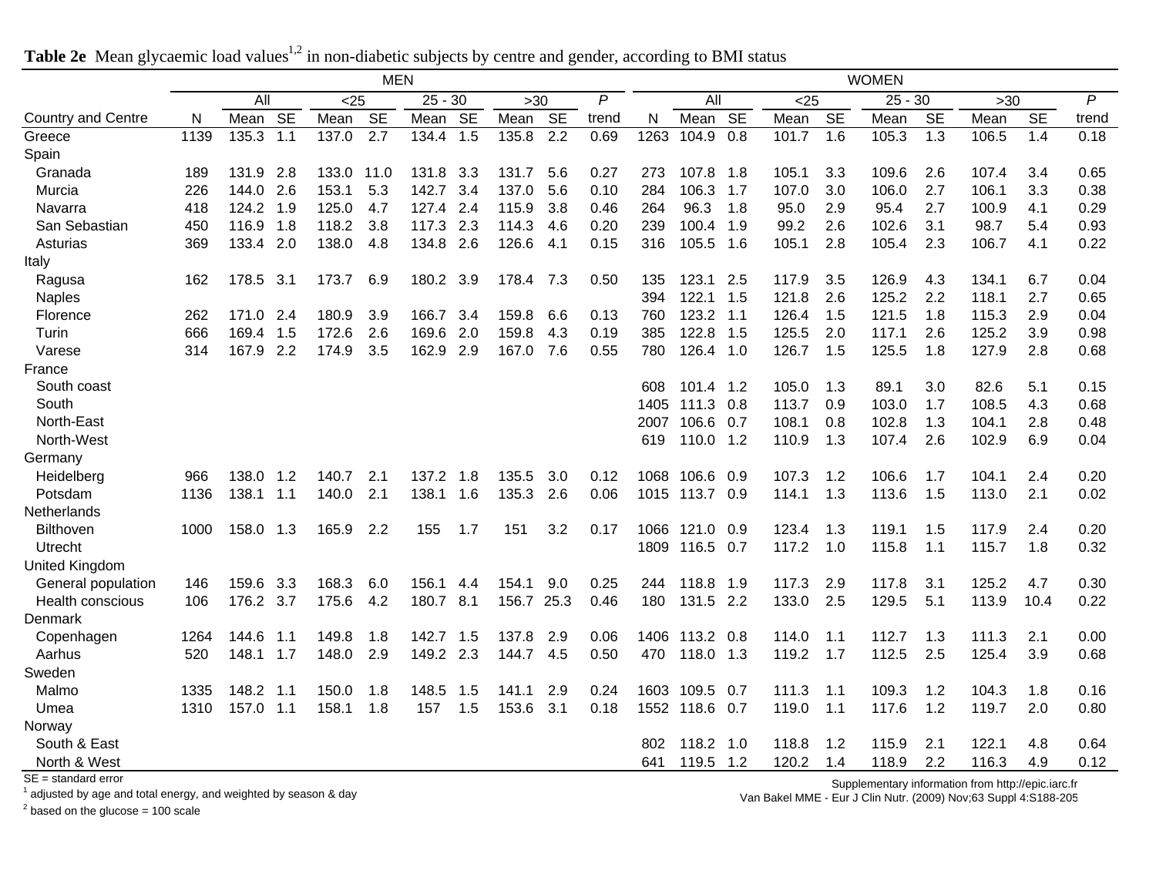|                                                     |      |           |                          |       | <b>MEN</b>             |           |                        |            |     |                |      |                |                          |       |                        | <b>WOMEN</b> |                          |       |                        |       |
|-----------------------------------------------------|------|-----------|--------------------------|-------|------------------------|-----------|------------------------|------------|-----|----------------|------|----------------|--------------------------|-------|------------------------|--------------|--------------------------|-------|------------------------|-------|
|                                                     |      | All       |                          | < 25  |                        | $25 - 30$ |                        | $>30$      |     | $\overline{P}$ |      | All            |                          | $25$  |                        | $25 - 30$    |                          | $>30$ |                        | P     |
| Country and Centre                                  | N    | Mean      | $\overline{\mathsf{SE}}$ | Mean  | $\overline{\text{SE}}$ | Mean      | $\overline{\text{SE}}$ | Mean       | SE  | trend          | N    | Mean           | $\overline{\mathsf{SE}}$ | Mean  | $\overline{\text{SE}}$ | Mean         | $\overline{\mathsf{SE}}$ | Mean  | $\overline{\text{SE}}$ | trend |
| Greece                                              | 1139 | 135.3     | 1.1                      | 137.0 | 2.7                    | 134.4     | 1.5                    | 135.8      | 2.2 | 0.69           | 1263 | 104.9          | 0.8                      | 101.7 | 1.6                    | 105.3        | 1.3                      | 106.5 | 1.4                    | 0.18  |
| Spain                                               |      |           |                          |       |                        |           |                        |            |     |                |      |                |                          |       |                        |              |                          |       |                        |       |
| Granada                                             | 189  | 131.9     | 2.8                      | 133.0 | 11.0                   | 131.8     | 3.3                    | 131.7      | 5.6 | 0.27           | 273  | 107.8          | 1.8                      | 105.1 | 3.3                    | 109.6        | 2.6                      | 107.4 | 3.4                    | 0.65  |
| Murcia                                              | 226  | 144.0     | 2.6                      | 153.1 | 5.3                    | 142.7 3.4 |                        | 137.0      | 5.6 | 0.10           | 284  | 106.3          | 1.7                      | 107.0 | 3.0                    | 106.0        | 2.7                      | 106.1 | 3.3                    | 0.38  |
| Navarra                                             | 418  | 124.2     | 1.9                      | 125.0 | 4.7                    | 127.4     | 2.4                    | 115.9      | 3.8 | 0.46           | 264  | 96.3           | 1.8                      | 95.0  | 2.9                    | 95.4         | 2.7                      | 100.9 | 4.1                    | 0.29  |
| San Sebastian                                       | 450  | 116.9     | 1.8                      | 118.2 | 3.8                    | 117.3     | 2.3                    | 114.3      | 4.6 | 0.20           | 239  | 100.4          | 1.9                      | 99.2  | 2.6                    | 102.6        | 3.1                      | 98.7  | 5.4                    | 0.93  |
| Asturias                                            | 369  | 133.4     | 2.0                      | 138.0 | 4.8                    | 134.8     | 2.6                    | 126.6      | 4.1 | 0.15           | 316  | 105.5          | 1.6                      | 105.1 | 2.8                    | 105.4        | 2.3                      | 106.7 | 4.1                    | 0.22  |
| Italy                                               |      |           |                          |       |                        |           |                        |            |     |                |      |                |                          |       |                        |              |                          |       |                        |       |
| Ragusa                                              | 162  | 178.5     | 3.1                      | 173.7 | 6.9                    | 180.2 3.9 |                        | 178.4 7.3  |     | 0.50           | 135  | 123.1          | 2.5                      | 117.9 | 3.5                    | 126.9        | 4.3                      | 134.1 | 6.7                    | 0.04  |
| <b>Naples</b>                                       |      |           |                          |       |                        |           |                        |            |     |                | 394  | 122.1          | 1.5                      | 121.8 | 2.6                    | 125.2        | 2.2                      | 118.1 | 2.7                    | 0.65  |
| Florence                                            | 262  | 171.0     | 2.4                      | 180.9 | 3.9                    | 166.7     | 3.4                    | 159.8      | 6.6 | 0.13           | 760  | 123.2          | 1.1                      | 126.4 | 1.5                    | 121.5        | 1.8                      | 115.3 | 2.9                    | 0.04  |
| Turin                                               | 666  | 169.4     | 1.5                      | 172.6 | 2.6                    | 169.6     | 2.0                    | 159.8      | 4.3 | 0.19           | 385  | 122.8          | 1.5                      | 125.5 | 2.0                    | 117.1        | 2.6                      | 125.2 | 3.9                    | 0.98  |
| Varese                                              | 314  | 167.9     | 2.2                      | 174.9 | 3.5                    | 162.9     | 2.9                    | 167.0      | 7.6 | 0.55           | 780  | 126.4 1.0      |                          | 126.7 | 1.5                    | 125.5        | 1.8                      | 127.9 | 2.8                    | 0.68  |
| France                                              |      |           |                          |       |                        |           |                        |            |     |                |      |                |                          |       |                        |              |                          |       |                        |       |
| South coast                                         |      |           |                          |       |                        |           |                        |            |     |                | 608  | 101.4 1.2      |                          | 105.0 | 1.3                    | 89.1         | 3.0                      | 82.6  | 5.1                    | 0.15  |
| South                                               |      |           |                          |       |                        |           |                        |            |     |                | 1405 | 111.3 0.8      |                          | 113.7 | 0.9                    | 103.0        | 1.7                      | 108.5 | 4.3                    | 0.68  |
| North-East                                          |      |           |                          |       |                        |           |                        |            |     |                | 2007 | 106.6 0.7      |                          | 108.1 | 0.8                    | 102.8        | 1.3                      | 104.1 | 2.8                    | 0.48  |
| North-West                                          |      |           |                          |       |                        |           |                        |            |     |                | 619  | 110.0 1.2      |                          | 110.9 | 1.3                    | 107.4        | 2.6                      | 102.9 | 6.9                    | 0.04  |
| Germany                                             |      |           |                          |       |                        |           |                        |            |     |                |      |                |                          |       |                        |              |                          |       |                        |       |
| Heidelberg                                          | 966  | 138.0     | 1.2                      | 140.7 | 2.1                    | 137.2     | 1.8                    | 135.5      | 3.0 | 0.12           | 1068 | 106.6 0.9      |                          | 107.3 | 1.2                    | 106.6        | 1.7                      | 104.1 | 2.4                    | 0.20  |
| Potsdam                                             | 1136 | 138.1 1.1 |                          | 140.0 | 2.1                    | 138.1     | 1.6                    | 135.3      | 2.6 | 0.06           | 1015 | 113.7 0.9      |                          | 114.1 | 1.3                    | 113.6        | 1.5                      | 113.0 | 2.1                    | 0.02  |
| Netherlands                                         |      |           |                          |       |                        |           |                        |            |     |                |      |                |                          |       |                        |              |                          |       |                        |       |
| <b>Bilthoven</b>                                    | 1000 | 158.0     | 1.3                      | 165.9 | 2.2                    | 155       | 1.7                    | 151        | 3.2 | 0.17           | 1066 | 121.0 0.9      |                          | 123.4 | 1.3                    | 119.1        | 1.5                      | 117.9 | 2.4                    | 0.20  |
| Utrecht                                             |      |           |                          |       |                        |           |                        |            |     |                | 1809 | 116.5 0.7      |                          | 117.2 | 1.0                    | 115.8        | 1.1                      | 115.7 | 1.8                    | 0.32  |
| United Kingdom                                      |      |           |                          |       |                        |           |                        |            |     |                |      |                |                          |       |                        |              |                          |       |                        |       |
| General population                                  | 146  | 159.6     | 3.3                      | 168.3 | 6.0                    | 156.1     | 4.4                    | 154.1      | 9.0 | 0.25           | 244  | 118.8          | 1.9                      | 117.3 | 2.9                    | 117.8        | 3.1                      | 125.2 | 4.7                    | 0.30  |
| Health conscious                                    | 106  | 176.2 3.7 |                          | 175.6 | 4.2                    | 180.7 8.1 |                        | 156.7 25.3 |     | 0.46           | 180  | 131.5 2.2      |                          | 133.0 | 2.5                    | 129.5        | 5.1                      | 113.9 | 10.4                   | 0.22  |
| Denmark                                             |      |           |                          |       |                        |           |                        |            |     |                |      |                |                          |       |                        |              |                          |       |                        |       |
| Copenhagen                                          | 1264 | 144.6     | 1.1                      | 149.8 | 1.8                    | 142.7     | 1.5                    | 137.8      | 2.9 | 0.06           | 1406 | 113.2 0.8      |                          | 114.0 | 1.1                    | 112.7        | 1.3                      | 111.3 | 2.1                    | 0.00  |
| Aarhus                                              | 520  | 148.1 1.7 |                          | 148.0 | 2.9                    | 149.2     | 2.3                    | 144.7      | 4.5 | 0.50           | 470  | 118.0 1.3      |                          | 119.2 | 1.7                    | 112.5        | 2.5                      | 125.4 | 3.9                    | 0.68  |
| Sweden                                              |      |           |                          |       |                        |           |                        |            |     |                |      |                |                          |       |                        |              |                          |       |                        |       |
| Malmo                                               | 1335 | 148.2 1.1 |                          | 150.0 | 1.8                    | 148.5     | 1.5                    | 141.1      | 2.9 | 0.24           |      | 1603 109.5 0.7 |                          | 111.3 | 1.1                    | 109.3        | 1.2                      | 104.3 | 1.8                    | 0.16  |
| Umea                                                | 1310 | 157.0     | 1.1                      | 158.1 | 1.8                    | 157       | 1.5                    | 153.6      | 3.1 | 0.18           | 1552 | 118.6 0.7      |                          | 119.0 | 1.1                    | 117.6        | 1.2                      | 119.7 | 2.0                    | 0.80  |
| Norway                                              |      |           |                          |       |                        |           |                        |            |     |                |      |                |                          |       |                        |              |                          |       |                        |       |
| South & East                                        |      |           |                          |       |                        |           |                        |            |     |                | 802  | 118.2 1.0      |                          | 118.8 | 1.2                    | 115.9        | 2.1                      | 122.1 | 4.8                    | 0.64  |
| North & West                                        |      |           |                          |       |                        |           |                        |            |     |                | 641  | 119.5 1.2      |                          | 120.2 | 1.4                    | 118.9        | 2.2                      | 116.3 | 4.9                    | 0.12  |
| $\overline{C}$ $\overline{C}$ atomalogical original |      |           |                          |       |                        |           |                        |            |     |                |      |                |                          |       |                        |              |                          |       |                        |       |

Table 2e Mean glycaemic load values<sup>1,2</sup> in non-diabetic subjects by centre and gender, according to BMI status

SE = standard error

 $1$  adjusted by age and total energy, and weighted by season & day

 $2$  based on the glucose = 100 scale

Supplementary information from http://epic.iarc.fr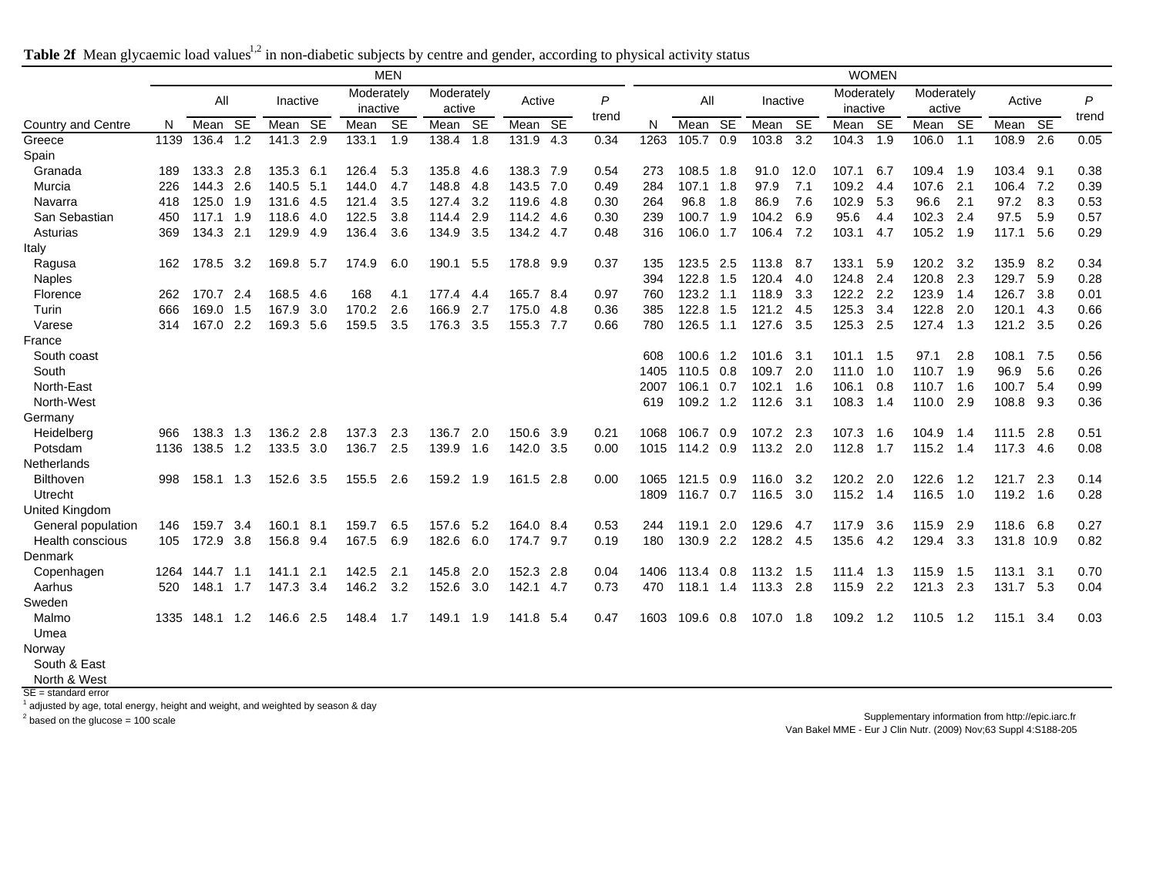|                    |      |                |           |           |           |                        | <b>MEN</b> |                      |           |           |           |              |      |           |           |           |           |                        | <b>WOMEN</b> |                      |           |            |     |       |
|--------------------|------|----------------|-----------|-----------|-----------|------------------------|------------|----------------------|-----------|-----------|-----------|--------------|------|-----------|-----------|-----------|-----------|------------------------|--------------|----------------------|-----------|------------|-----|-------|
|                    |      | All            |           | Inactive  |           | Moderately<br>inactive |            | Moderately<br>active |           | Active    |           | $\mathsf{P}$ |      | All       |           | Inactive  |           | Moderately<br>inactive |              | Moderately<br>active |           | Active     |     | P     |
| Country and Centre | N.   | Mean           | <b>SE</b> | Mean      | <b>SE</b> | Mean                   | <b>SE</b>  | Mean                 | <b>SE</b> | Mean      | <b>SE</b> | trend        | N    | Mean      | <b>SE</b> | Mean      | <b>SE</b> | Mean                   | <b>SE</b>    | Mean                 | <b>SE</b> | Mean       | SE  | trend |
| Greece             | 1139 | 136.4          | 1.2       | 141.3     | 2.9       | 133.1                  | 1.9        | 138.4                | 1.8       | 131.9 4.3 |           | 0.34         | 1263 | 105.7     | 0.9       | 103.8     | 3.2       | 104.3                  | 1.9          | 106.0                | 1.1       | 108.9 2.6  |     | 0.05  |
| Spain              |      |                |           |           |           |                        |            |                      |           |           |           |              |      |           |           |           |           |                        |              |                      |           |            |     |       |
| Granada            | 189  | 133.3          | 2.8       | 135.3 6.1 |           | 126.4                  | 5.3        | 135.8                | 4.6       | 138.3 7.9 |           | 0.54         | 273  | 108.5     | 1.8       | 91.0      | 12.0      | 107.1                  | 6.7          | 109.4                | 1.9       | 103.4      | 9.1 | 0.38  |
| Murcia             | 226  | 144.3          | 2.6       | 140.5     | $-5.1$    | 144.0                  | 4.7        | 148.8                | 4.8       | 143.5 7.0 |           | 0.49         | 284  | 107.1     | 1.8       | 97.9      | 7.1       | 109.2                  | 4.4          | 107.6                | 2.1       | 106.4      | 7.2 | 0.39  |
| Navarra            | 418  | 125.0          | 1.9       | 131.6     | 4.5       | 121.4                  | 3.5        | 127.4                | 3.2       | 119.6 4.8 |           | 0.30         | 264  | 96.8      | 1.8       | 86.9      | 7.6       | 102.9                  | 5.3          | 96.6                 | 2.1       | 97.2       | 8.3 | 0.53  |
| San Sebastian      | 450  | 117.1          | 1.9       | 118.6     | 4.0       | 122.5                  | 3.8        | 114.4                | 2.9       | 114.2 4.6 |           | 0.30         | 239  | 100.7 1.9 |           | 104.2     | 6.9       | 95.6                   | 4.4          | 102.3                | 2.4       | 97.5       | 5.9 | 0.57  |
| Asturias           | 369  | 134.3          | 2.1       | 129.9     | 4.9       | 136.4                  | 3.6        | 134.9                | 3.5       | 134.2 4.7 |           | 0.48         | 316  | 106.0 1.7 |           | 106.4     | 7.2       | 103.1                  | 4.7          | 105.2                | 1.9       | 117.1 5.6  |     | 0.29  |
| Italy              |      |                |           |           |           |                        |            |                      |           |           |           |              |      |           |           |           |           |                        |              |                      |           |            |     |       |
| Ragusa             | 162  | 178.5 3.2      |           | 169.8     | 5.7       | 174.9                  | 6.0        | 190.1                | 5.5       | 178.8 9.9 |           | 0.37         | 135  | 123.5 2.5 |           | 113.8 8.7 |           | 133.1                  | 5.9          | 120.2                | 3.2       | 135.9      | 8.2 | 0.34  |
| <b>Naples</b>      |      |                |           |           |           |                        |            |                      |           |           |           |              | 394  | 122.8 1.5 |           | 120.4 4.0 |           | 124.8                  | 2.4          | 120.8                | 2.3       | 129.7      | 5.9 | 0.28  |
| Florence           | 262  | 170.7 2.4      |           | 168.5     | -4.6      | 168                    | 4.1        | 177.4                | -4.4      | 165.7 8.4 |           | 0.97         | 760  | 123.2 1.1 |           | 118.9 3.3 |           | 122.2                  | 2.2          | 123.9                | 1.4       | 126.7      | 3.8 | 0.01  |
| Turin              | 666  | 169.0          | 1.5       | 167.9     | 3.0       | 170.2                  | 2.6        | 166.9                | 2.7       | 175.0     | -4.8      | 0.36         | 385  | 122.8 1.5 |           | 121.2 4.5 |           | 125.3                  | 3.4          | 122.8                | 2.0       | 120.1      | 4.3 | 0.66  |
| Varese             | 314  | 167.0          | 2.2       | 169.3 5.6 |           | 159.5                  | 3.5        | 176.3                | 3.5       | 155.3 7.7 |           | 0.66         | 780  | 126.5 1.1 |           | 127.6 3.5 |           | 125.3                  | 2.5          | 127.4                | 1.3       | 121.2 3.5  |     | 0.26  |
| France             |      |                |           |           |           |                        |            |                      |           |           |           |              |      |           |           |           |           |                        |              |                      |           |            |     |       |
| South coast        |      |                |           |           |           |                        |            |                      |           |           |           |              | 608  | 100.6 1.2 |           | 101.6     | 3.1       | 101.1                  | 1.5          | 97.1                 | 2.8       | 108.1      | 7.5 | 0.56  |
| South              |      |                |           |           |           |                        |            |                      |           |           |           |              | 1405 | 110.5 0.8 |           | 109.7     | 2.0       | 111.0                  | 1.0          | 110.7                | 1.9       | 96.9       | 5.6 | 0.26  |
| North-East         |      |                |           |           |           |                        |            |                      |           |           |           |              | 2007 | 106.1 0.7 |           | 102.1     | 1.6       | 106.1                  | 0.8          | 110.7                | 1.6       | 100.7      | 5.4 | 0.99  |
| North-West         |      |                |           |           |           |                        |            |                      |           |           |           |              | 619  | 109.2 1.2 |           | 112.6     | 3.1       | 108.3                  | 1.4          | 110.0                | 2.9       | 108.8      | 9.3 | 0.36  |
| Germany            |      |                |           |           |           |                        |            |                      |           |           |           |              |      |           |           |           |           |                        |              |                      |           |            |     |       |
| Heidelberg         | 966  | 138.3 1.3      |           | 136.2 2.8 |           | 137.3                  | 2.3        | 136.7                | 2.0       | 150.6 3.9 |           | 0.21         | 1068 | 106.7 0.9 |           | 107.2 2.3 |           | 107.3                  | -1.6         | 104.9                | 1.4       | 111.5 2.8  |     | 0.51  |
| Potsdam            | 1136 | 138.5          | 1.2       | 133.5 3.0 |           | 136.7                  | 2.5        | 139.9                | 1.6       | 142.0 3.5 |           | 0.00         | 1015 | 114.2 0.9 |           | 113.2 2.0 |           | 112.8                  | 1.7          | 115.2                | 1.4       | 117.3 4.6  |     | 0.08  |
| Netherlands        |      |                |           |           |           |                        |            |                      |           |           |           |              |      |           |           |           |           |                        |              |                      |           |            |     |       |
| <b>Bilthoven</b>   | 998  | 158.1 1.3      |           | 152.6 3.5 |           | 155.5                  | 2.6        | 159.2 1.9            |           | 161.5 2.8 |           | 0.00         | 1065 | 121.5 0.9 |           | 116.0 3.2 |           | 120.2                  | 2.0          | 122.6                | 1.2       | 121.7      | 2.3 | 0.14  |
| Utrecht            |      |                |           |           |           |                        |            |                      |           |           |           |              | 1809 | 116.7 0.7 |           | 116.5 3.0 |           | 115.2                  | 1.4          | 116.5                | 1.0       | 119.2 1.6  |     | 0.28  |
| United Kingdom     |      |                |           |           |           |                        |            |                      |           |           |           |              |      |           |           |           |           |                        |              |                      |           |            |     |       |
| General population | 146  | 159.7          | 3.4       | 160.1 8.1 |           | 159.7                  | 6.5        | 157.6                | 5.2       | 164.0 8.4 |           | 0.53         | 244  | 119.1     | 2.0       | 129.6     | 4.7       | 117.9                  | 3.6          | 115.9                | 2.9       | 118.6 6.8  |     | 0.27  |
| Health conscious   | 105  | 172.9          | 3.8       | 156.8     | 9.4       | 167.5                  | 6.9        | 182.6                | 6.0       | 174.7     | 9.7       | 0.19         | 180  | 130.9     | 2.2       | 128.2 4.5 |           | 135.6                  | 4.2          | 129.4                | 3.3       | 131.8 10.9 |     | 0.82  |
| Denmark            |      |                |           |           |           |                        |            |                      |           |           |           |              |      |           |           |           |           |                        |              |                      |           |            |     |       |
| Copenhagen         |      | 1264 144.7 1.1 |           | 141.1     | 2.1       | 142.5                  | 2.1        | 145.8                | 2.0       | 152.3 2.8 |           | 0.04         | 1406 | 113.4 0.8 |           | 113.2 1.5 |           | 111.4                  | -1.3         | 115.9                | 1.5       | 113.1 3.1  |     | 0.70  |
| Aarhus             | 520  | 148.1 1.7      |           | 147.3 3.4 |           | 146.2                  | 3.2        | 152.6                | 3.0       | 142.1 4.7 |           | 0.73         | 470  | 118.1 1.4 |           | 113.3     | 2.8       | 115.9                  | 2.2          | 121.3                | 2.3       | 131.7 5.3  |     | 0.04  |
| Sweden             |      |                |           |           |           |                        |            |                      |           |           |           |              |      |           |           |           |           |                        |              |                      |           |            |     |       |
| Malmo              |      | 1335 148.1 1.2 |           | 146.6 2.5 |           | 148.4                  | $-1.7$     | 149.1                | 1.9       | 141.8 5.4 |           | 0.47         | 1603 | 109.6     | 0.8       | 107.0     | 1.8       | 109.2 1.2              |              | 110.5                | 1.2       | 115.1 3.4  |     | 0.03  |
| Umea               |      |                |           |           |           |                        |            |                      |           |           |           |              |      |           |           |           |           |                        |              |                      |           |            |     |       |
| Norway             |      |                |           |           |           |                        |            |                      |           |           |           |              |      |           |           |           |           |                        |              |                      |           |            |     |       |
| South & East       |      |                |           |           |           |                        |            |                      |           |           |           |              |      |           |           |           |           |                        |              |                      |           |            |     |       |
|                    |      |                |           |           |           |                        |            |                      |           |           |           |              |      |           |           |           |           |                        |              |                      |           |            |     |       |

Table 2f Mean glycaemic load values<sup>1,2</sup> in non-diabetic subjects by centre and gender, according to physical activity status

 North & WestSE = standard error

 $^{1}$  adjusted by age, total energy, height and weight, and weighted by season & day

 $2$  based on the glucose = 100 scale

Supplementary information from http://epic.iarc.fr Van Bakel MME - Eur J Clin Nutr. (2009) Nov;63 Suppl 4:S188-205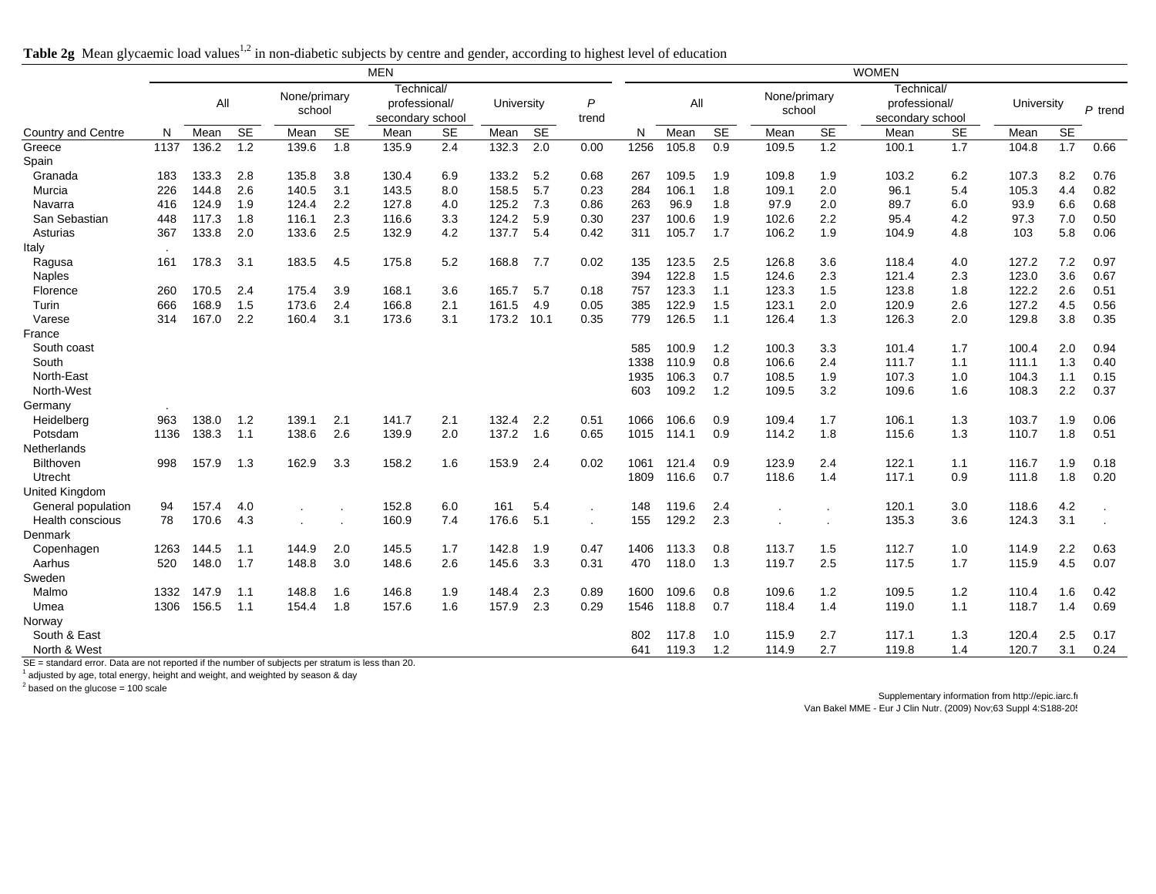Table 2g Mean glycaemic load values<sup>1,2</sup> in non-diabetic subjects by centre and gender, according to highest level of education

|                           |      |       |           |                        |           | <b>MEN</b>                                      |           |            |           |                |      |       |           |                        |           | <b>WOMEN</b>                                    |           |            |           |           |
|---------------------------|------|-------|-----------|------------------------|-----------|-------------------------------------------------|-----------|------------|-----------|----------------|------|-------|-----------|------------------------|-----------|-------------------------------------------------|-----------|------------|-----------|-----------|
|                           |      | All   |           | None/primary<br>school |           | Technical/<br>professional/<br>secondary school |           | University |           | P<br>trend     |      | All   |           | None/primary<br>school |           | Technical/<br>professional/<br>secondary school |           | University |           | $P$ trend |
| <b>Country and Centre</b> | N    | Mean  | <b>SE</b> | Mean                   | <b>SE</b> | Mean                                            | <b>SE</b> | Mean       | <b>SE</b> |                | N    | Mean  | <b>SE</b> | Mean                   | <b>SE</b> | Mean                                            | <b>SE</b> | Mean       | <b>SE</b> |           |
| Greece                    | 1137 | 136.2 | 1.2       | 139.6                  | 1.8       | 135.9                                           | 2.4       | 132.3      | 2.0       | 0.00           | 1256 | 105.8 | 0.9       | 109.5                  | 1.2       | 100.1                                           | 1.7       | 104.8      | 1.7       | 0.66      |
| Spain                     |      |       |           |                        |           |                                                 |           |            |           |                |      |       |           |                        |           |                                                 |           |            |           |           |
| Granada                   | 183  | 133.3 | 2.8       | 135.8                  | 3.8       | 130.4                                           | 6.9       | 133.2      | 5.2       | 0.68           | 267  | 109.5 | 1.9       | 109.8                  | 1.9       | 103.2                                           | 6.2       | 107.3      | 8.2       | 0.76      |
| Murcia                    | 226  | 144.8 | 2.6       | 140.5                  | 3.1       | 143.5                                           | 8.0       | 158.5      | 5.7       | 0.23           | 284  | 106.1 | 1.8       | 109.1                  | 2.0       | 96.1                                            | 5.4       | 105.3      | 4.4       | 0.82      |
| Navarra                   | 416  | 124.9 | 1.9       | 124.4                  | 2.2       | 127.8                                           | 4.0       | 125.2      | 7.3       | 0.86           | 263  | 96.9  | 1.8       | 97.9                   | 2.0       | 89.7                                            | 6.0       | 93.9       | 6.6       | 0.68      |
| San Sebastian             | 448  | 117.3 | 1.8       | 116.1                  | 2.3       | 116.6                                           | 3.3       | 124.2      | 5.9       | 0.30           | 237  | 100.6 | 1.9       | 102.6                  | 2.2       | 95.4                                            | 4.2       | 97.3       | 7.0       | 0.50      |
| Asturias                  | 367  | 133.8 | 2.0       | 133.6                  | 2.5       | 132.9                                           | 4.2       | 137.7      | 5.4       | 0.42           | 311  | 105.7 | 1.7       | 106.2                  | 1.9       | 104.9                                           | 4.8       | 103        | 5.8       | 0.06      |
| Italy                     |      |       |           |                        |           |                                                 |           |            |           |                |      |       |           |                        |           |                                                 |           |            |           |           |
| Ragusa                    | 161  | 178.3 | 3.1       | 183.5                  | 4.5       | 175.8                                           | 5.2       | 168.8      | 7.7       | 0.02           | 135  | 123.5 | 2.5       | 126.8                  | 3.6       | 118.4                                           | 4.0       | 127.2      | 7.2       | 0.97      |
| Naples                    |      |       |           |                        |           |                                                 |           |            |           |                | 394  | 122.8 | 1.5       | 124.6                  | 2.3       | 121.4                                           | 2.3       | 123.0      | 3.6       | 0.67      |
| Florence                  | 260  | 170.5 | 2.4       | 175.4                  | 3.9       | 168.1                                           | 3.6       | 165.7      | 5.7       | 0.18           | 757  | 123.3 | 1.1       | 123.3                  | 1.5       | 123.8                                           | 1.8       | 122.2      | 2.6       | 0.51      |
| Turin                     | 666  | 168.9 | 1.5       | 173.6                  | 2.4       | 166.8                                           | 2.1       | 161.5      | 4.9       | 0.05           | 385  | 122.9 | 1.5       | 123.1                  | 2.0       | 120.9                                           | 2.6       | 127.2      | 4.5       | 0.56      |
| Varese                    | 314  | 167.0 | 2.2       | 160.4                  | 3.1       | 173.6                                           | 3.1       | 173.2      | 10.1      | 0.35           | 779  | 126.5 | 1.1       | 126.4                  | 1.3       | 126.3                                           | 2.0       | 129.8      | 3.8       | 0.35      |
| France                    |      |       |           |                        |           |                                                 |           |            |           |                |      |       |           |                        |           |                                                 |           |            |           |           |
| South coast               |      |       |           |                        |           |                                                 |           |            |           |                | 585  | 100.9 | 1.2       | 100.3                  | 3.3       | 101.4                                           | 1.7       | 100.4      | 2.0       | 0.94      |
| South                     |      |       |           |                        |           |                                                 |           |            |           |                | 1338 | 110.9 | 0.8       | 106.6                  | 2.4       | 111.7                                           | 1.1       | 111.1      | 1.3       | 0.40      |
| North-East                |      |       |           |                        |           |                                                 |           |            |           |                | 1935 | 106.3 | 0.7       | 108.5                  | 1.9       | 107.3                                           | 1.0       | 104.3      | 1.1       | 0.15      |
| North-West                |      |       |           |                        |           |                                                 |           |            |           |                | 603  | 109.2 | 1.2       | 109.5                  | 3.2       | 109.6                                           | 1.6       | 108.3      | 2.2       | 0.37      |
| Germany                   |      |       |           |                        |           |                                                 |           |            |           |                |      |       |           |                        |           |                                                 |           |            |           |           |
| Heidelberg                | 963  | 138.0 | 1.2       | 139.1                  | 2.1       | 141.7                                           | 2.1       | 132.4      | 2.2       | 0.51           | 1066 | 106.6 | 0.9       | 109.4                  | 1.7       | 106.1                                           | 1.3       | 103.7      | 1.9       | 0.06      |
| Potsdam                   | 1136 | 138.3 | 1.1       | 138.6                  | 2.6       | 139.9                                           | 2.0       | 137.2      | 1.6       | 0.65           | 1015 | 114.1 | 0.9       | 114.2                  | 1.8       | 115.6                                           | 1.3       | 110.7      | 1.8       | 0.51      |
| Netherlands               |      |       |           |                        |           |                                                 |           |            |           |                |      |       |           |                        |           |                                                 |           |            |           |           |
| <b>Bilthoven</b>          | 998  | 157.9 | 1.3       | 162.9                  | 3.3       | 158.2                                           | 1.6       | 153.9      | 2.4       | 0.02           | 1061 | 121.4 | 0.9       | 123.9                  | 2.4       | 122.1                                           | 1.1       | 116.7      | 1.9       | 0.18      |
| Utrecht                   |      |       |           |                        |           |                                                 |           |            |           |                | 1809 | 116.6 | 0.7       | 118.6                  | 1.4       | 117.1                                           | 0.9       | 111.8      | 1.8       | 0.20      |
| <b>United Kingdom</b>     |      |       |           |                        |           |                                                 |           |            |           |                |      |       |           |                        |           |                                                 |           |            |           |           |
| General population        | 94   | 157.4 | 4.0       |                        |           | 152.8                                           | 6.0       | 161        | 5.4       |                | 148  | 119.6 | 2.4       |                        |           | 120.1                                           | 3.0       | 118.6      | 4.2       |           |
| <b>Health conscious</b>   | 78   | 170.6 | 4.3       |                        |           | 160.9                                           | 7.4       | 176.6      | 5.1       | $\blacksquare$ | 155  | 129.2 | 2.3       |                        |           | 135.3                                           | 3.6       | 124.3      | 3.1       |           |
| Denmark                   |      |       |           |                        |           |                                                 |           |            |           |                |      |       |           |                        |           |                                                 |           |            |           |           |
| Copenhagen                | 1263 | 144.5 | 1.1       | 144.9                  | 2.0       | 145.5                                           | 1.7       | 142.8      | 1.9       | 0.47           | 1406 | 113.3 | 0.8       | 113.7                  | 1.5       | 112.7                                           | 1.0       | 114.9      | 2.2       | 0.63      |
| Aarhus                    | 520  | 148.0 | 1.7       | 148.8                  | 3.0       | 148.6                                           | 2.6       | 145.6      | 3.3       | 0.31           | 470  | 118.0 | 1.3       | 119.7                  | 2.5       | 117.5                                           | 1.7       | 115.9      | 4.5       | 0.07      |
| Sweden                    |      |       |           |                        |           |                                                 |           |            |           |                |      |       |           |                        |           |                                                 |           |            |           |           |
| Malmo                     | 1332 | 147.9 | 1.1       | 148.8                  | 1.6       | 146.8                                           | 1.9       | 148.4      | 2.3       | 0.89           | 1600 | 109.6 | 0.8       | 109.6                  | 1.2       | 109.5                                           | 1.2       | 110.4      | 1.6       | 0.42      |
| Umea                      | 1306 | 156.5 | 1.1       | 154.4                  | 1.8       | 157.6                                           | 1.6       | 157.9      | 2.3       | 0.29           | 1546 | 118.8 | 0.7       | 118.4                  | 1.4       | 119.0                                           | 1.1       | 118.7      | 1.4       | 0.69      |
| Norway                    |      |       |           |                        |           |                                                 |           |            |           |                |      |       |           |                        |           |                                                 |           |            |           |           |
| South & East              |      |       |           |                        |           |                                                 |           |            |           |                | 802  | 117.8 | 1.0       | 115.9                  | 2.7       | 117.1                                           | 1.3       | 120.4      | 2.5       | 0.17      |
| North & West              |      |       |           |                        |           |                                                 |           |            |           |                | 641  | 119.3 | 1.2       | 114.9                  | 2.7       | 119.8                                           | 1.4       | 120.7      | 3.1       | 0.24      |

SE = standard error. Data are not reported if the number of subjects per stratum is less than 20.

 $1$  adjusted by age, total energy, height and weight, and weighted by season & day

 $2^2$  based on the glucose = 100 scale

Supplementary information from http://epic.iarc.fr Van Bakel MME - Eur J Clin Nutr. (2009) Nov;63 Suppl 4:S188-205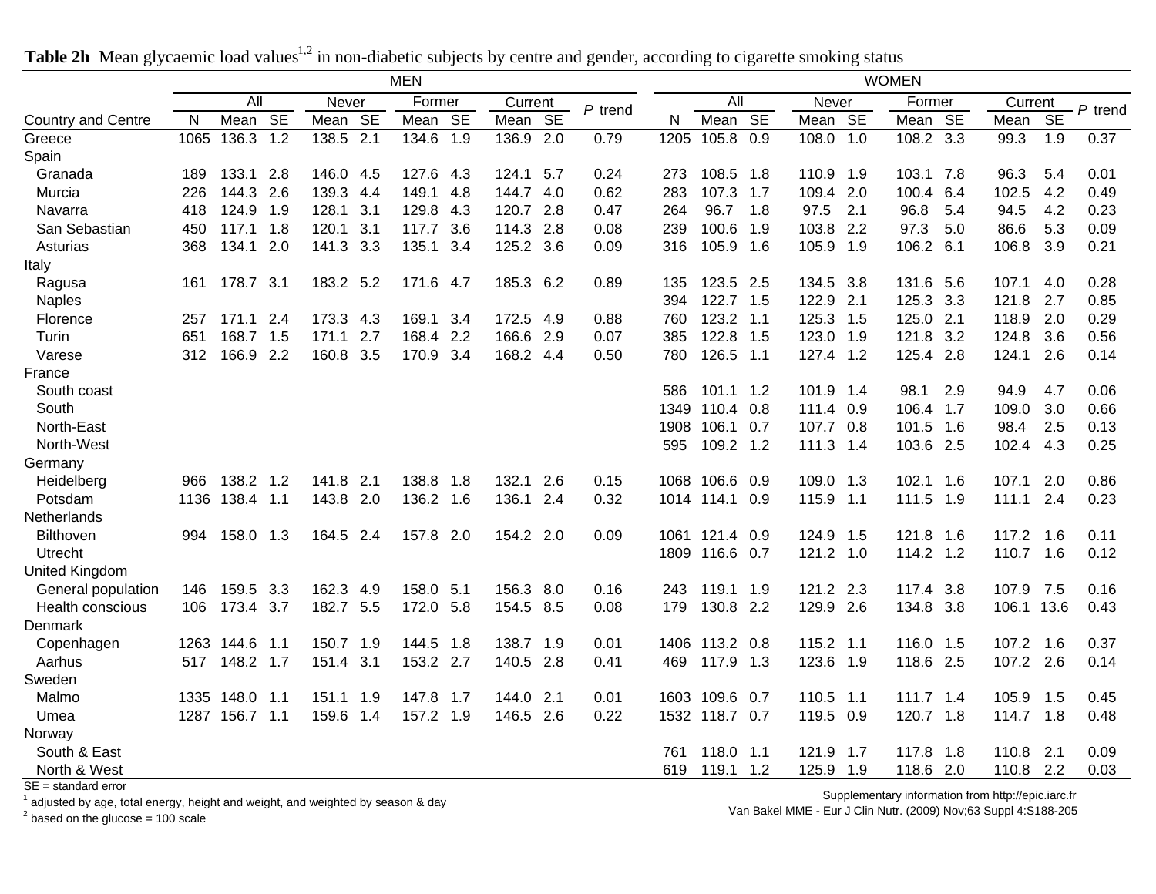|                       |      |                |           |           |                  | <b>MEN</b> |           |           |                        |           |      |                |           |           |     | <b>WOMEN</b> |     |            |                        |           |
|-----------------------|------|----------------|-----------|-----------|------------------|------------|-----------|-----------|------------------------|-----------|------|----------------|-----------|-----------|-----|--------------|-----|------------|------------------------|-----------|
|                       |      | All            |           | Never     |                  | Former     |           | Current   |                        |           |      | All            |           | Never     |     | Former       |     | Current    |                        |           |
| Country and Centre    | N    | Mean           | <b>SE</b> | Mean      | <b>SE</b>        | Mean       | <b>SE</b> | Mean      | $\overline{\text{SE}}$ | $P$ trend | N    | Mean           | <b>SE</b> | Mean SE   |     | Mean SE      |     | Mean       | $\overline{\text{SE}}$ | $P$ trend |
| Greece                | 1065 | 136.3          | 1.2       | 138.5     | $\overline{2.1}$ | 134.6      | 1.9       | 136.9 2.0 |                        | 0.79      | 1205 | 105.8          | 0.9       | 108.0     | 1.0 | 108.2 3.3    |     | 99.3       | 1.9                    | 0.37      |
| Spain                 |      |                |           |           |                  |            |           |           |                        |           |      |                |           |           |     |              |     |            |                        |           |
| Granada               | 189  | 133.1          | 2.8       | 146.0     | 4.5              | 127.6 4.3  |           | 124.1 5.7 |                        | 0.24      | 273  | 108.5          | 1.8       | 110.9 1.9 |     | 103.1 7.8    |     | 96.3       | 5.4                    | 0.01      |
| Murcia                | 226  | 144.3          | 2.6       | 139.3     | 4.4              | 149.1      | 4.8       | 144.7 4.0 |                        | 0.62      | 283  | 107.3          | 1.7       | 109.4 2.0 |     | 100.4 6.4    |     | 102.5      | 4.2                    | 0.49      |
| Navarra               | 418  | 124.9          | 1.9       | 128.1     | 3.1              | 129.8      | 4.3       | 120.7 2.8 |                        | 0.47      | 264  | 96.7           | 1.8       | 97.5      | 2.1 | 96.8         | 5.4 | 94.5       | 4.2                    | 0.23      |
| San Sebastian         | 450  | 117.1          | 1.8       | 120.1     | 3.1              | 117.7      | 3.6       | 114.3 2.8 |                        | 0.08      | 239  | 100.6          | 1.9       | 103.8 2.2 |     | 97.3         | 5.0 | 86.6       | 5.3                    | 0.09      |
| Asturias              | 368  | 134.1          | 2.0       | 141.3     | 3.3              | 135.1      | 3.4       | 125.2 3.6 |                        | 0.09      | 316  | 105.9          | 1.6       | 105.9 1.9 |     | 106.2 6.1    |     | 106.8      | 3.9                    | 0.21      |
| Italy                 |      |                |           |           |                  |            |           |           |                        |           |      |                |           |           |     |              |     |            |                        |           |
| Ragusa                | 161  | 178.7 3.1      |           | 183.2 5.2 |                  | 171.6 4.7  |           | 185.3 6.2 |                        | 0.89      | 135  | 123.5 2.5      |           | 134.5 3.8 |     | 131.6 5.6    |     | 107.1      | 4.0                    | 0.28      |
| <b>Naples</b>         |      |                |           |           |                  |            |           |           |                        |           | 394  | 122.7 1.5      |           | 122.9     | 2.1 | 125.3 3.3    |     | 121.8      | 2.7                    | 0.85      |
| Florence              | 257  | 171.1          | 2.4       | 173.3     | 4.3              | 169.1 3.4  |           | 172.5 4.9 |                        | 0.88      | 760  | 123.2          | 1.1       | 125.3 1.5 |     | 125.0 2.1    |     | 118.9      | 2.0                    | 0.29      |
| Turin                 | 651  | 168.7          | 1.5       | 171.1     | 2.7              | 168.4      | 2.2       | 166.6 2.9 |                        | 0.07      | 385  | 122.8          | 1.5       | 123.0 1.9 |     | 121.8        | 3.2 | 124.8      | 3.6                    | 0.56      |
| Varese                | 312  | 166.9          | 2.2       | 160.8     | 3.5              | 170.9      | 3.4       | 168.2 4.4 |                        | 0.50      | 780  | 126.5          | 1.1       | 127.4 1.2 |     | 125.4        | 2.8 | 124.1      | 2.6                    | 0.14      |
| France                |      |                |           |           |                  |            |           |           |                        |           |      |                |           |           |     |              |     |            |                        |           |
| South coast           |      |                |           |           |                  |            |           |           |                        |           | 586  | 101.1          | 1.2       | 101.9 1.4 |     | 98.1         | 2.9 | 94.9       | 4.7                    | 0.06      |
| South                 |      |                |           |           |                  |            |           |           |                        |           |      | 1349 110.4     | 0.8       | 111.4 0.9 |     | 106.4 1.7    |     | 109.0      | 3.0                    | 0.66      |
| North-East            |      |                |           |           |                  |            |           |           |                        |           | 1908 | 106.1          | 0.7       | 107.7 0.8 |     | 101.5 1.6    |     | 98.4       | 2.5                    | 0.13      |
| North-West            |      |                |           |           |                  |            |           |           |                        |           | 595  | 109.2 1.2      |           | 111.3 1.4 |     | 103.6 2.5    |     | 102.4      | 4.3                    | 0.25      |
| Germany               |      |                |           |           |                  |            |           |           |                        |           |      |                |           |           |     |              |     |            |                        |           |
| Heidelberg            | 966  | 138.2          | 1.2       | 141.8     | 2.1              | 138.8      | 1.8       | 132.1 2.6 |                        | 0.15      |      | 1068 106.6     | 0.9       | 109.0 1.3 |     | 102.1        | 1.6 | 107.1      | 2.0                    | 0.86      |
| Potsdam               |      | 1136 138.4     | 1.1       | 143.8     | 2.0              | 136.2 1.6  |           | 136.1 2.4 |                        | 0.32      |      | 1014 114.1     | 0.9       | 115.9 1.1 |     | 111.5 1.9    |     | 111.1      | 2.4                    | 0.23      |
| Netherlands           |      |                |           |           |                  |            |           |           |                        |           |      |                |           |           |     |              |     |            |                        |           |
| Bilthoven             | 994  | 158.0 1.3      |           | 164.5 2.4 |                  | 157.8 2.0  |           | 154.2 2.0 |                        | 0.09      |      | 1061 121.4 0.9 |           | 124.9 1.5 |     | 121.8 1.6    |     | 117.2      | - 1.6                  | 0.11      |
| Utrecht               |      |                |           |           |                  |            |           |           |                        |           |      | 1809 116.6 0.7 |           | 121.2 1.0 |     | 114.2 1.2    |     | 110.7      | - 1.6                  | 0.12      |
| <b>United Kingdom</b> |      |                |           |           |                  |            |           |           |                        |           |      |                |           |           |     |              |     |            |                        |           |
| General population    | 146  | 159.5          | 3.3       | 162.3     | -4.9             | 158.0      | 5.1       | 156.3 8.0 |                        | 0.16      | 243  | 119.1          | 1.9       | 121.2 2.3 |     | 117.4        | 3.8 | 107.9      | 7.5                    | 0.16      |
| Health conscious      | 106  | 173.4          | 3.7       | 182.7     | 5.5              | 172.0      | 5.8       | 154.5 8.5 |                        | 0.08      | 179  | 130.8 2.2      |           | 129.9 2.6 |     | 134.8        | 3.8 | 106.1 13.6 |                        | 0.43      |
| Denmark               |      |                |           |           |                  |            |           |           |                        |           |      |                |           |           |     |              |     |            |                        |           |
| Copenhagen            |      | 1263 144.6     | 1.1       | 150.7 1.9 |                  | 144.5      | 1.8       | 138.7 1.9 |                        | 0.01      |      | 1406 113.2 0.8 |           | 115.2 1.1 |     | 116.0 1.5    |     | 107.2      | $-1.6$                 | 0.37      |
| Aarhus                | 517  | 148.2 1.7      |           | 151.4     | 3.1              | 153.2 2.7  |           | 140.5 2.8 |                        | 0.41      | 469  | 117.9 1.3      |           | 123.6 1.9 |     | 118.6 2.5    |     | 107.2 2.6  |                        | 0.14      |
| Sweden                |      |                |           |           |                  |            |           |           |                        |           |      |                |           |           |     |              |     |            |                        |           |
| Malmo                 |      | 1335 148.0     | 1.1       | 151.1     | 1.9              | 147.8      | 1.7       | 144.0 2.1 |                        | 0.01      |      | 1603 109.6     | 0.7       | 110.5 1.1 |     | 111.7 1.4    |     | 105.9      | 1.5                    | 0.45      |
| Umea                  |      | 1287 156.7 1.1 |           | 159.6     | 1.4              | 157.2 1.9  |           | 146.5 2.6 |                        | 0.22      |      | 1532 118.7 0.7 |           | 119.5 0.9 |     | 120.7 1.8    |     | 114.7      | 1.8                    | 0.48      |
| Norway                |      |                |           |           |                  |            |           |           |                        |           |      |                |           |           |     |              |     |            |                        |           |
| South & East          |      |                |           |           |                  |            |           |           |                        |           | 761  | 118.0          | 1.1       | 121.9 1.7 |     | 117.8 1.8    |     | 110.8      | 2.1                    | 0.09      |
| North & West          |      |                |           |           |                  |            |           |           |                        |           | 619  | 119.1          | 1.2       | 125.9     | 1.9 | 118.6 2.0    |     | 110.8      | 2.2                    | 0.03      |
| $SE = standard error$ |      |                |           |           |                  |            |           |           |                        |           |      |                |           |           |     |              |     |            |                        |           |

Table 2h Mean glycaemic load values<sup>1,2</sup> in non-diabetic subjects by centre and gender, according to cigarette smoking status

 $1$  adjusted by age, total energy, height and weight, and weighted by season & day  $2^{2}$  based on the glucose = 100 scale

Supplementary information from http://epic.iarc.fr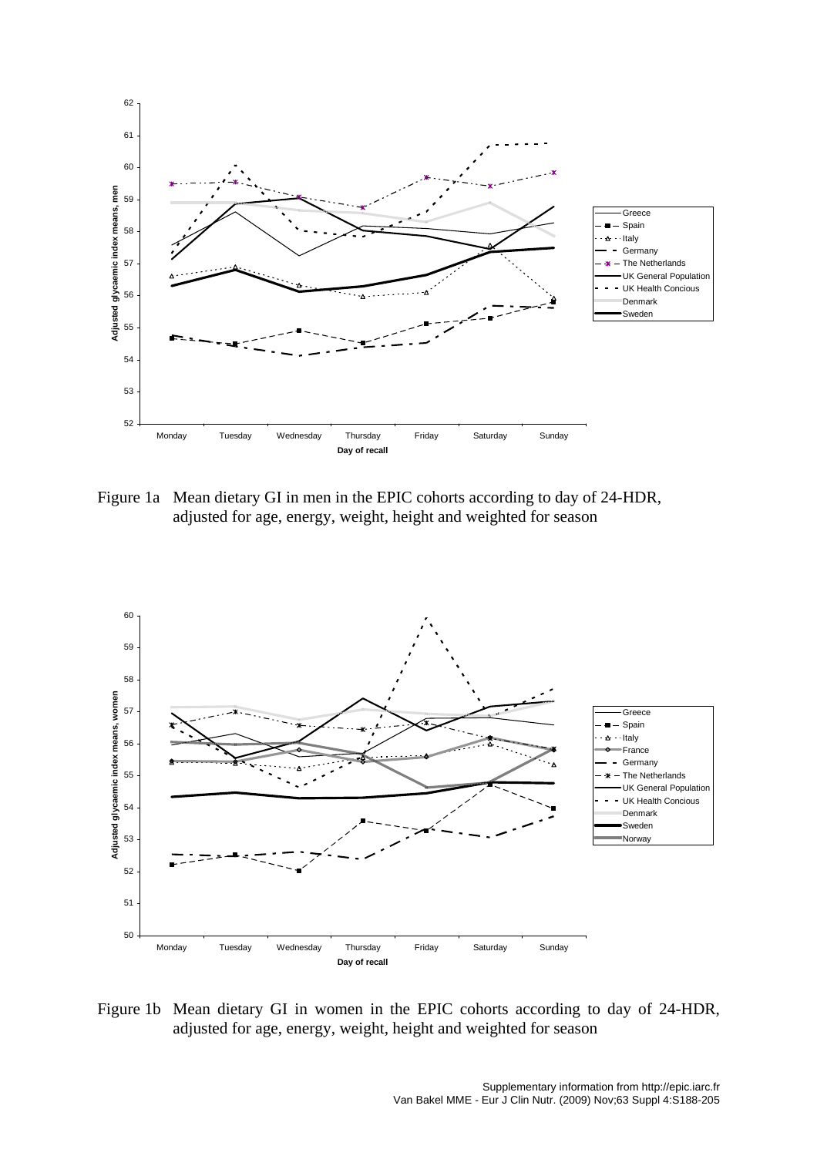

Figure 1a Mean dietary GI in men in the EPIC cohorts according to day of 24-HDR, adjusted for age, energy, weight, height and weighted for season



Figure 1b Mean dietary GI in women in the EPIC cohorts according to day of 24-HDR, adjusted for age, energy, weight, height and weighted for season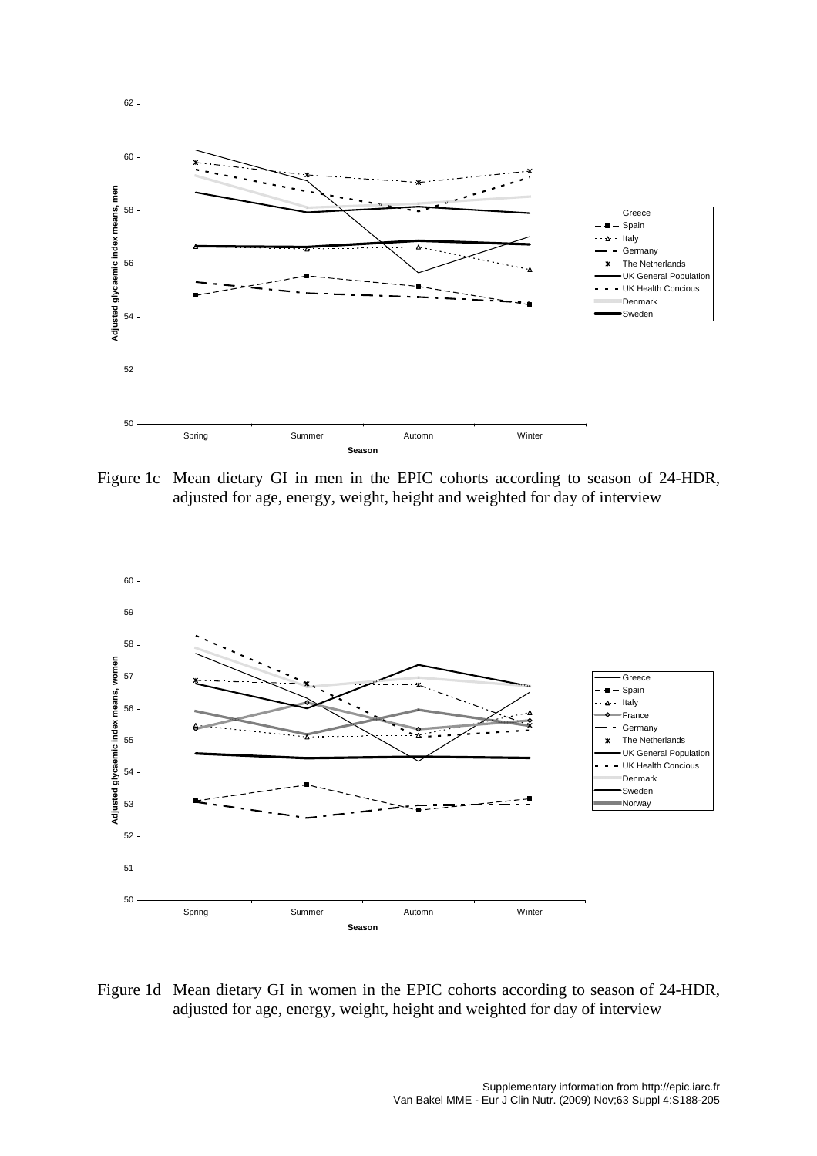

Figure 1c Mean dietary GI in men in the EPIC cohorts according to season of 24-HDR, adjusted for age, energy, weight, height and weighted for day of interview



Figure 1d Mean dietary GI in women in the EPIC cohorts according to season of 24-HDR, adjusted for age, energy, weight, height and weighted for day of interview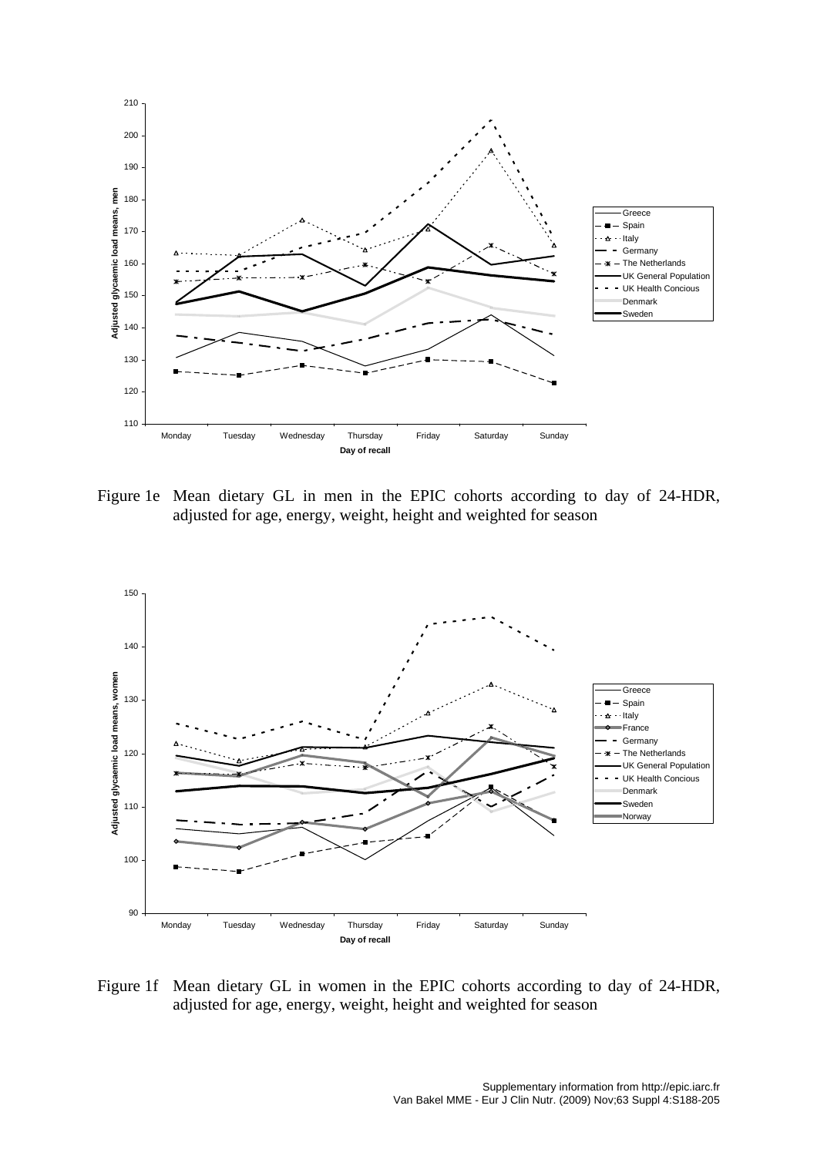

Figure 1e Mean dietary GL in men in the EPIC cohorts according to day of 24-HDR, adjusted for age, energy, weight, height and weighted for season



Figure 1f Mean dietary GL in women in the EPIC cohorts according to day of 24-HDR, adjusted for age, energy, weight, height and weighted for season